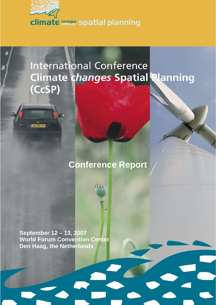

# **International Conference Climate changes Spatial Planning** (CcSP)

# **Conference Report**

an

**September 12 – 13, 2007 World Forum Convention Center Den Haag, the Netherlands**

**DELLE**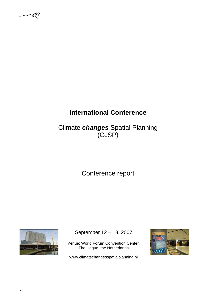$\mathcal{L}$ 

# **International Conference**

Climate *changes* Spatial Planning (CcSP)

Conference report



September 12 – 13, 2007

Venue: World Forum Convention Center, The Hague, the Netherlands

www.climatechangesspatialplanning.nl

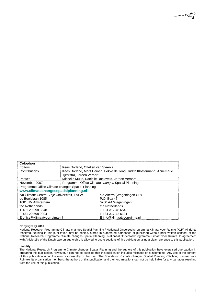

| Colophon                                          |                                                                          |                             |
|---------------------------------------------------|--------------------------------------------------------------------------|-----------------------------|
| Editors                                           | Kees Dorland, Ottelien van Steenis                                       |                             |
| Contributions                                     | Kees Dorland, Marit Heinen, Fokke de Jong, Judith Klostermann, Annemarie |                             |
|                                                   | Tjerkstra, Jeroen Veraart                                                |                             |
| Photo's                                           | Michelle Muus, Daniëlle Roeleveld, Jeroen Veraart                        |                             |
| November 2007                                     | Programme Office Climate changes Spatial Planning                        |                             |
| Programme Office Climate changes Spatial Planning |                                                                          |                             |
| www.climatechangesspatialplanning.nl              |                                                                          |                             |
| c/o Climate Centre, Vrije Universiteit, FALW      |                                                                          | c/o Alterra (Wageningen UR) |
| de Boelelaan 1085                                 |                                                                          | P.O. Box 47                 |
| 1081 HV Amsterdam                                 |                                                                          | 6700 AA Wageningen          |
| the Netherlands                                   |                                                                          | the Netherlands             |
| T+31 20 598 8648                                  |                                                                          | T +31 317 48 6540           |
| F +31 20 598 9904                                 |                                                                          | F+31 317 42 6101            |
| E office@klimaatvoorruimte.nl                     |                                                                          | E info@klimaatvoorruimte.nl |

#### **Copyright @ 2007**

National Research Programme Climate changes Spatial Planning / Nationaal Onderzoekprogramma Klimaat voor Ruimte (KvR) All rights reserved. Nothing in this publication may be copied, stored in automated databases or published without prior written consent of the National Research Programme Climate changes Spatial Planning / Nationaal Onderzoekprogramma Klimaat voor Ruimte. In agreement with Article 15a of the Dutch Law on authorship is allowed to quote sections of this publication using a clear reference to this publication.

#### **Liability**

The National Research Programme Climate changes Spatial Planning and the authors of this publication have exercised due caution in preparing this publication. However, it can not be expelled that this publication includes mistakes or is incomplete. Any use of the content of this publication is for the own responsibility of the user. The Foundation Climate changes Spatial Planning (Stichting Klimaat voor Ruimte), its organisation members, the authors of this publication and their organisations can not be held liable for any damages resulting from the use of this publication.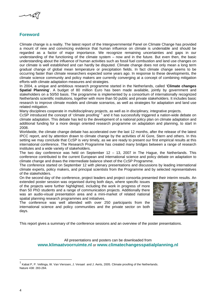

# **Foreword**

Climate change is a reality. The latest report of the Intergovernmental Panel on Climate Change has provided a mount of new and convincing evidence that human influence on climate is undeniable and should be regarded as a factor of major importance. We recognize remaining uncertainties and gaps in our understanding of the functioning of the climate system – now and in the future. But even then, the basic understanding about the influence of human activities such as fossil fuel combustion and land use changes on our climate is well established and can hardly be disputed. Climate change does not only mean a long term gradual change of global mean temperature or precipitation fields. In fact climate change seems to be occurring faster than climate researchers expected some years ago. In response to these developments, the climate science community and policy makers are currently converging at a concept of combining mitigation efforts with climate adaptation measures and strategies.

In 2004, a unique and ambitious research programme started in the Netherlands, called '**Climate changes Spatial Planning**'. A budget of 80 million Euro has been made available, jointly by government and stakeholders on a 50/50 basis. The programme is implemented by a consortium of internationally recognized Netherlands scientific institutions, together with more than 50 public and private stakeholders. It includes basic research to improve climate models and climate scenarios, as well as strategies for adaptation and land use related mitigation.

Many disciplines cooperate in multidisciplinary projects, as well as in disciplinary, integrative projects.

CcSP introduced the concept of 'climate proofing' <sup>1</sup> and it has successfully triggered a nation-wide debate on climate adaptation. This debate has led to the development of a national policy plan on climate adaptation and additional funding for a more design oriented research programme on adaptation and planning, to start in 2008.

Worldwide, the climate change debate has accelerated over the last 12 months, after the release of the latest IPCC report, and by attention drawn to climate change by the activities of Al Gore, Stern and others. In this setting we may conclude that CcSP is very timely, as we are ready to present our first empirical results at this international conference. The Research Programme has created many bridges between a range of research institutes and a wide variety of stakeholders.

The two day conference was held on September  $12 - 13$ , 2007 in The Hague, the Netherlands. This conference contributed to the current European and international science and policy debate on adaptation to climate change and draws the intermediate balance sheet of the CcSP Programme.

The conference started on September 12 with plenary presentations and discussions by leading international climate experts, policy makers, and principal scientists from the Programme and by selected representatives of the stakeholders.

On the second day of the conference, project leaders and project consortia presented their interim results. An extended poster session was organised during both days, where specific issues

of the projects were further highlighted, including the work in progress of more than 50 PhD students and a range of communication projects. Additionally there was an audio-visual presentation area and a mini-market of related national spatial planning research programmes and initiatives.

The conference was well attended with over 250 participants from the international science and policy communities and the private sector on both days.



This report gives a summary of the conference sessions and an overview of the poster presentations.

All presentations and posters can be downloaded from **www.klimaatvoorruimte.nl** or **www.climatechangesspatialplanning.nl**

1

<sup>1</sup> Kabat P, P. Vellinga, W. Van Vierssen, J. Veraart and J. Aerts, 2005. Climate proofing of the Netherlands. Nature 438: 283-284.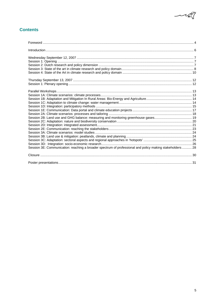

# **Contents**

| Session 3E: Communication: reaching a broader spectrum of professional and policy making stakeholders 28 |  |
|----------------------------------------------------------------------------------------------------------|--|
|                                                                                                          |  |
|                                                                                                          |  |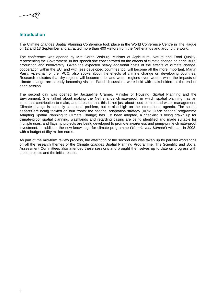

# **Introduction**

The Climate *changes* Spatial Planning Conference took place in the World Conference Centre in The Hague on 12 and 13 September and attracted more than 400 visitors from the Netherlands and around the world.

The conference was opened by Mrs Gerda Verburg, Minister of Agriculture, Nature and Food Quality, representing the Government. In her speech she concentrated on the effects of climate change on agricultural production and biodiversity. Given the expected heavy additional costs of the effects of climate change, cooperation within the EU, and with less developed countries too, will become all the more important. Martin Parry, vice-chair of the IPCC, also spoke about the effects of climate change on developing countries. Research indicates that dry regions will become drier and wetter regions even wetter, while the impacts of climate change are already becoming visible. Panel discussions were held with stakeholders at the end of each session.

The second day was opened by Jacqueline Cramer, Minister of Housing, Spatial Planning and the Environment. She talked about making the Netherlands climate-proof, in which spatial planning has an important contribution to make, and stressed that this is not just about flood control and water management. Climate change is not only a national problem, but is also high on the international agenda. The spatial aspects are being tackled on four fronts: the national adaptation strategy (ARK: Dutch national programme Adapting Spatial Planning to Climate Change) has just been adopted, a checklist is being drawn up for climate-proof spatial planning, washlands and retarding basins are being identified and made suitable for multiple uses, and flagship projects are being developed to promote awareness and pump-prime climate-proof investment. In addition, the new knowledge for climate programme ('*Kennis voor Klimaat'*) will start in 2008, with a budget of fifty million euros.

As part of the mid-term review process, the afternoon of the second day was taken up by parallel workshops on all the research themes of the Climate *changes* Spatial Planning Programme. The Scientific and Social Assessment Committees also attended these sessions and brought themselves up to date on progress with these projects and the initial results.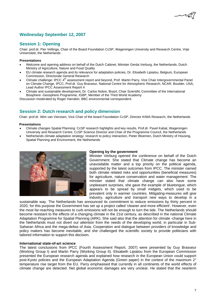# **Wednesday September 12, 2007**

# **Session 1: Opening**

Chair: prof.dr. Pier Vellinga, Chair of the Board Foundation CcSP, Wageningen University and Research Centre, Vrije Universiteit, the Netherlands

# **Presentations**

- Welcome and opening address on behalf of the Dutch Cabinet, Minister Gerda Verburg, the Netherlands, Dutch Ministry of Agriculture, Nature and Food Quality
- EU climate research agenda and its relevance for adaptation policies, Dr. Elisabeth Lipiatou, Belgium, European Commission, Directorate General Research
- Climate challenge: IPCC 4<sup>th</sup> assessment report and beyond, Prof. Martin Parry, Vice Chair Intergovernmental Panel on Climate Change, IPCC; Prof.dr. Guy Brasseur, National Centre for Atmospheric Research, NCAR, Boulder, USA, Lead Author IPCC Assessment Report 4
- Climate and sustainable development, Dr. Carlos Nobre, Brazil, Chair Scientific Committee of the International Biosphere -Geosphere Programme, IGBP, Member of the Third World Academy

Discussion moderated by Roger Harrabin, BBC environmental correspondent.

# **Session 2: Dutch research and policy dimension**

Chair: prof.dr. Wim van Vierssen, Vice Chair of the board Foundation CcSP, Director KIWA Research, the Netherlands

# **Presentations**

- Climate changes Spatial Planning: CcSP research highlights and key results, Prof.dr. Pavel Kabat, Wageningen University and Research Centre, CcSP Science Director and Chair of the Programme Council, the Netherlands
- Netherlands climate adaptation strategy: research to policy interaction, Pieter Bloemen, Dutch Ministry of Housing, Spatial Planning and Environment, the Netherlands



# **Opening by the government**

Minister Verburg opened the conference on behalf of the Dutch Government. She stated that Climate change has become an unavoidable matter and a top priority on the political agenda, supported by the latest outcomes from IPCC. The minister named both climate related risks and opportunities (beneficial measures) for agriculture, nature conservation and water management. The minister stated that climate change can also have some unpleasant surprises, she gave the example of bluetongue, which appears to be spread by small midgets, which used to be prevalent only in warmer countries. Mitigating-measures will give industry, agriculture and transport new ways to develop in a

sustainable way. The Netherlands has announced its commitment to reduce emissions by thirty percent in 2020, for this purpose the Government has set up a project called 'cleaner and more efficient'. However, even the most far-reaching measures to curb emissions will not be enough to turn the tide. The Netherlands should become resistant to the effects of a changing climate in the 21st century, as described in the national Climate Adaptation Programme for Spatial Planning (ARK). She said also that the attention for climate -change here in the Netherlands must not divert our attention from the needs of the developing world, in particular in Sub-Saharan Africa and the mega-deltas of Asia. Cooperation and dialogue between providers of knowledge and policy makers has become inevitable, and she challenged the scientific society to provide politicians with tailored information to support this decision.

# **International state-of-art science**

The latest conclusions from IPCC (Fourth Assessment Report, 2007) were presented by Guy Brasseur (Working Group I) and Martin Parry (Working Group II). Elisabeth Lipiatou from the European Commission presented the European research agenda and explained how research in the European Union could support post-Kyoto policies and the European Adaptation Agenda (Green paper) in the context of the maximum 2° temperature rise target from the EU. Parry emphasised that currently in all continents of the world effects of climate change are detected. Net global economic damages are very unclear. He stated that the nearterm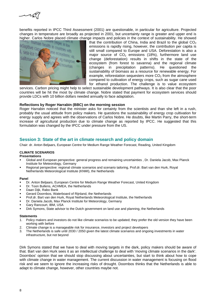

benefits reported in IPCC Third Assessment (2001) are questionable, in particular for agriculture. Projected changes in temperature are broadly as projected in 2001, but uncertainty range is greater and upper end is



higher. Carlos Nobre placed climate change impacts and policies in the context of sustainability. He showed<br>that the contribution of China, India and Brazil to the global CO<sub>2</sub><br>contextions is regular is regular to the cont that the contribution of China, India and Brazil to the global  $CO<sub>2</sub>$ emissions is rapidly rising, however, the contribution per capita is still small compared to Europe and USA. Deforestation is also a major source of  $CO<sub>2</sub>$  emissions (18%), furthermore land use change (deforestation) results in shifts in the state of the ecosystem (from forest to savanna) and the regional climate (changes in precipitation patterns). He questioned the sustainability of biomass as a resource for renewable energy. For example, reforestation sequesters more  $CO<sub>2</sub>$  from the atmosphere compared to cultivation of energy crops, such as sugar cane used for ethanol production. The challenge is to value ecosystem

services. Carbon pricing might help to select sustainable development pathways. It is also clear that the poor countries will be hit the most by climate change. Nobre stated that payment for ecosystem services should provide LDCs with 10 billion dollars needed annually to face adaptation.

# **Reflections by Roger Harrabin (BBC) on the morning session**

Roger Harrabin noticed that the minister asks for certainty from the scientists and than she left in a rush, probably the usual attitude from policy makers. He questions the sustainability of energy crop cultivation for energy supply and agrees with the observations of Carlos Nobre. He doubts, like Martin Parry, the short-term increase of agricultural production due to climate change as reported by IPCC. He suggested that this formulation was changed by the IPCC under pressure from the US.

# **Session 3: State of the art in climate research and policy domain**

Chair: dr. Anton Beljaars, European Centre for Medium Range Weather Forecast, Reading, United Kingdom

# **CLIMATE SCENARIOS**

# **Presentations**

- Global and European perspective: general progress and remaining uncertainties , Dr. Daniela Jacob, Max Planck Institute for Meteorology, Germany
- Regional perspective: regional climate scenarios and scenario tailoring, Prof.dr. Bart van den Hurk, Royal Netherlands Meteorological Institute (KNMI), the Netherlands

#### **Panel**

- Dr. Anton Beljaars, European Centre for Medium Range Weather Forecast, United Kingdom
- Dr. Toon Bullens, ACHMEA, the Netherlands
- Daan Dijk, Rabo Bank
- Gerard Doornbos, Waterboard of Rijnland, the Netherlands
- Prof.dr. Bart van den Hurk, Royal Netherlands Meteorological Institute, the Netherlands
- Dr. Daniela Jacob, Max Planck Institute for Meteorology, Germany
- Gary Rancourt, IBM, USA
- Dirk Symons, State advisor to the Dutch government on land use and planning, the Netherlands

#### **Statements**

- 1. Policy makers and investors do not like climate scenarios to be updated; they prefer the old version they have been working with before
- 2. Climate change is a manageable risk for insurance, investors and project developers
- 3. The Netherlands is safe until 2030 / 2050 given the latest climate scenarios and ongoing investments in water infrastructure, but not beyond

Dirk Symons stated that we have to deal with moving targets in the dark, policy makers should be aware of that. Bart van den Hurk sees it as an intellectual challenge to deal with 'moving climate scenarios in the dark'. Doornbos' opinion that we should stop discussing about uncertainties, but start to think about how to cope with climate change in water management. The current discussion in water management is focusing on flood risk and we seem to ignore the increasing risks of drought. Doornbos thinks that the Netherlands is able to adapt to climate change, however, other countries maybe not.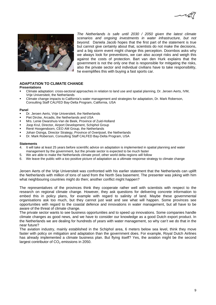



*The Netherlands is safe until 2030 / 2050 given the latest climate scenarios and ongoing investments in water infrastructure, but not beyond.* Daniela Jacob hopes that the first part of the statement is true but cannot give certainty about that, scientists do not make the decisions, and a big storm event might change this perception. Doornbos asks why we always look for preventions, we can also accept risks and weigh this against the costs of protection. Bart van den Hurk explains that the government is not the only one that is responsible for mitigating the risks, also the private sector and individual civilians have to take responsibility, he exemplifies this with buying a fast sports car.

# **ADAPTATION TO CLIMATE CHANGE**

#### **Presentations**

- Climate adaptation: cross-sectoral approaches in relation to land use and spatial planning, Dr. Jeroen Aerts, IVM, Vrije Universiteit, the Netherlands
- Climate change impacts to California's water management and strategies for adaptation, Dr. Mark Roberson, Consulting Staff CALFED Bay-Delta Program, California, USA

#### **Panel**

- Dr. Jeroen Aerts, Vrije Universiteit, the Netherlands
- Piet Dircke, Arcadis, the Netherlands and USA
- Mrs. Lenie Dwarshuis-Van de Beek, Province of Zuid-Holland
- Joop Krul, Director, Airport Development, Schiphol Group
- René Hoogendoorn, CEO AM Group, the Netherlands
- Johan Osinga, Director Strategy, Province of Overijssel, the Netherlands
- Dr. Mark Roberson, Consulting Staff CALFED Bay-Delta Program, USA

#### **Statements**

- 4. It will take at least 25 years before scientific advice on adaptation is implemented in spatial planning and water management by the government, but the private sector is expected to be much faster
- 5. We are able to make the Netherlands climate proof, other world delta regions will follow
- 6. We leave the public with a too positive picture of adaptation as a ultimate response strategy to climate change

Jeroen Aerts of the Vrije Universiteit was confronted with his earlier statement that the Netherlands can uplift the Netherlands with million of tons of sand from the North Sea basement. The presenter was joking with him what neighbouring countries might do then; another conflict might happen?

The representatives of the provinces think they cooperate rather well with scientists with respect to the research on regional climate change. However, they ask questions for delivering concrete information to embed this in policy plans, for example with regard to salinity of land. Maybe these governmental organisations ask too much, but they cannot just wait and see what will happen. Some provinces see opportunities with regard to the coastal defence and innovations in water management, but all have to be aware of the threat of climate change.

The private sector wants to see business opportunities and to speed up innovations. Some companies handle climate changes as good news, and we have to consider our knowledge as a good Dutch export product. In the Netherlands we are dealing for hundreds of years with water management, so why can't we do that in the near future?

The aviation industry, mainly established in the Schiphol area, 6 meters below sea level, think they move faster with policy on mitigation and adaptation than the government does. For example, Royal Dutch Airlines has already implemented a climate business plan. But flying itself? Yes, the aviation might be the second largest contributor of  $CO<sub>2</sub>$  emissions in 2050.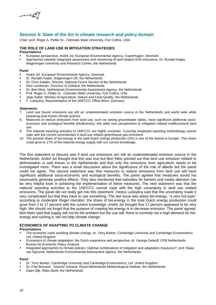فيمكسد

# **Session 4: State of the Art in climate research and policy domain**

Chair: prof. Roger A. Pielke Sr., Colorado State University, Fort Collins, USA

# **THE ROLE OF LAND USE IN MITIGATION STRATEGIES**

# **Presentations**

- European perspective, André Jol, European Environmental Agency, Copenhagen, Denmark
- Approaches towards integrated assessment and monitoring of land related GHG emissions, Dr. Ronald Hutjes,
- Wageningen University and Research Centre, the Netherlands

#### **Panel**

- André Jol, European Environmental Agency, Denmark
- Dr. Ronald Hutjes, Wageningen UR, the Netherlands
- Dr. Chris Kalden, Director, National Forest Service of the Netherlands
- Nico Landsman, Province of Zeeland, the Netherlands
- Dr. Bert Metz, Netherlands Environmental Assessment Agency, the Netherlands
- Prof. Roger A. Pielke Sr., Colorado State University, Fort Collins, USA
- Jaap Satter, Ministry of Agriculture, Nature and Food Quality, the Netherlands
- F. Luboyera, Representative of the UNFCCC Office Bonn, Germany

#### **Statements**

- 7. Land use bound emissions are still an underestimated emission source in the Netherlands and world wide while preparing post-Kytoto climate policies
- 8. Measures to reduce emissions from land use, such as raising groundwater tables, have significant additional socioeconomic and ecological benefits (biodiversity), this adds new perspectives to mitigation related multifunctional land use
- 9. The national reporting activities to UNFCCC are highly uncertain. Currently employed reporting methodology cannot cope with the current uncertainties in land use related greenhouse gas emissions
- 10. The present share of bio-energy in the total Dutch energy production (2%) is one of the lowest in Europe. This share could grow to 17% of the national energy supply with our current knowledge

The first statement to discuss was if land use emissions are still an underestimated emission source in the Netherlands. André Jol thought that this was true but Bert Metz pointed out that land use emission related to deforestation is well known in the Netherlands and that only the emissions from agriculture needs to be investigated more. There was a small discussion about the significance of the role of albedo but the panel could not agree. The second statement was that measures to reduce emissions from land use will have significant additional socio-economic and ecological benefits. The panel agreed that measures would not necessarily generate positive effects. They also mentioned that subsidies for farmers and media attention can be very helpful tools in achieving the implementation of these measures. The next statement was that the national reporting activities to the UNFCCC cannot cope with the high uncertainty in land use related emissions. The panel did not really get into this statement. Festus Luboyera said that the uncertainty made it very complicated but that they have to use something. The last issue was about bio-energy, "a very hot topic" according to moderator Roger Harrabin: the share of bio-energy in the total Dutch energy production could grow from 2 to 17 percent with the current knowledge. André Jol thought that 17 percent appeared to be very high. We should not forget that the purpose of creating bio-energy is to decrease emission. The panel agreed. Bert Metz said that supply will not be the problem but the use will; there is currently not a high demand for bioenergy and rushing it, will not help climate change.

# **ECONOMICS OF ADAPTING TO CLIMATE CHANGE**

# **Presentations**

- The economic costs avoiding climate change, dr. Terry Barker, Cambridge University and Cambridge Econometrics Ltd, United Kingdom
- Economics of climate adaptation: the Dutch experience and perspective, dr. George Gelauff, CPB Netherlands Bureau for Economic Policy Analysis
- Integrated approaches to climate policies: Optimal combinations of mitigation and adaptation measures?, prof. Klaas van Egmond, Netherlands Environmental Assessment Agency, the Netherlands

# **Panel**

- Dr. Terry Barker, Cambridge University and Cambridge Econometrics, Ltd, United Kingdom
- Dr. Frits Brouwer, Director General, Royal Netherlands Meteorological Institute, the Netherlands
- Daan Dijk, Rabo Bank, the Netherlands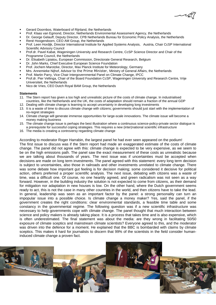- Gerard Doornbos, Waterboard of Rijnland, the Netherlands
- Prof. Klaas van Egmond, Director, Netherlands Environmental Assessment Agency, the Netherlands
- Dr. George Gelauff, Deputy Director, CPB Netherlands Bureau for Economic Policy Analysis, the Netherlands
- René Hoogendoorn, CEO AM Group, the Netherlands
- Prof. Leen Hordijk, Director International Institute for Applied Systems Analysis, Austria, Chair CcSP International Scientific Advisory Council
- Prof.dr. Pavel Kabat, Wageningen University and Research Centre, CcSP Science Director and Chair of the Programme Council, the Netherlands
- Dr. Elisabeth Lipiatou, European Commission, Directorate General Research, Belgium
- Dr. John Marks, Chief Executive European Science Foundation
- Prof. Jochem Marotzke, Director, Max Planck Institute for Meteorology, Germany
- Mrs. Annemieke Nijhof, Advisor to the Prime Minister, Ministry of General Affairs, the Netherlands
- Prof. Martin Parry, Vice Chair Intergovernmental Panel on Climate Change, IPCC
- Prof.dr. Pier Vellinga, Chair of the Board Foundation CcSP, Wageningen University and Research Centre, Vrije Universiteit, the Netherlands
- Nico de Vries, CEO Dutch Royal BAM Group, the Netherlands

#### **Statements**

- 11. The Stern report has given a too high and unrealistic picture of the costs of climate change. In industrialised countries, like the Netherlands and the UK, the costs of adaptation should remain a fraction of the annual GDP
- 12. Dealing with climate change is learning to accept uncertainty in developing long investments
- 13. It is a waste of time to discuss climate change with citizens; governments should just start with the implementation of no-regret strategies
- 14. Climate change will generate immense opportunities for large-scale innovations. The climate issue will become a money making business
- 15. The climate change issue is perhaps the best illustration where a continuous science-policy-private sector dialogue is a prerequisite for successful coping strategies. This requires a new (inter)national scientific infrastructure
- 16. The media is creating a controversy regarding climate change

According to moderator Roger Harrabin, the largest panel he had ever seen appeared on the podium! The first issue to discuss was if the Stern report had made an exaggerated estimate of the costs of climate change. The panel did not agree with this: climate change is expected to be very expensive, as we seem to be on the high emissions path. The panel saw the exact measurement of these costs as unrealistic because we are talking about thousands of years. The next issue was if uncertainties must be accepted when decisions are made on long term investments. The panel agreed with this statement: every long term decision is subject to uncertainties, also those in railroads and other investments unrelated to climate change. There was some debate how important gut feeling is for decision making; some considered it decisive for political action, others preferred a proper scientific analysis. The next issue, debating with citizens was a waste of time, was a difficult one. Of course, no one heartily agreed, and green radicalism was not seen as a way forward. However, in the building industry the solution is not expected to come from citizens, as their demand for mitigation nor adaptation in new houses is low. On the other hand, where the Dutch government seems ready to act, this is not the case in many other countries in the world, and then citizens have to take the lead. In general, leadership was seen as an important factor by the panel: a strong personality can turn an impopular issue into a possible choice. Is climate change a money maker? Yes, said the panel, if the government creates the right conditions: clear environmental standards, a feasible time table and some constancy in the governmental regime. The following question was if a new scientific infrastructure was necessary to help governments cope with climate change. The panel thought that much interaction between science and policy makers is already taking place. It is a process that takes time and is also expensive, which is often underestimated. The final statement was about the media: are they wrong in facilitating 50/50 exposure of climate sceptics and mainstream climate scientists? Everyone agreed to this, and the moderator was driven into the defence for a moment. He explained that the BBC is bombarded with claims by climate sceptics. This makes it hard for journalists to discern that 99% of the scientists in the field consider humaninduced climate change a proven fact.

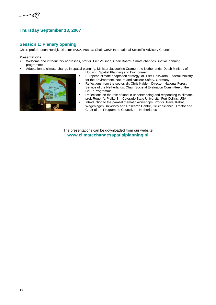

# **Thursday September 13, 2007**

# **Session 1: Plenary opening**

Chair: prof.dr. Leen Hordijk, Director IIASA, Austria; Chair CcSP International Scientific Advisory Council

#### **Presentations**

- Welcome and introductory addresses, prof.dr. Pier Vellinga, Chair Board Climate changes Spatial Planning programme
- Adaptation to climate change in spatial planning, Minister Jacqueline Cramer, the Netherlands, Dutch Ministry of



- Housing, Spatial Planning and Environment European climate adaptation strategy, dr. Fritz Holzwarth, Federal Ministry for the Environment, Nature and Nuclear Safety, Germany
- Reflections from the sector, dr. Chris Kalden, Director, National Forest Service of the Netherlands, Chair, Societal Evaluation Committee of the CcSP Programme
- Reflections on the role of land in understanding and responding to climate, prof. Roger A. Pielke Sr., Colorado State University, Fort Collins, USA
- **Introduction to the parallel thematic workshops, Prof.dr. Pavel Kabat,** Wageningen University and Research Centre, CcSP Science Director and Chair of the Programme Council, the Netherlands

The presentations can be downloaded from our website **www.climatechangesspatialplanning.nl**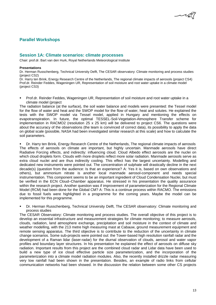# **Parallel Workshops**

# **Session 1A: Climate scenarios: climate processes**

Chair: prof.dr. Bart van den Hurk, Royal Netherlands Meteorological Institute

#### **Presentations**

Dr. Herman Russchenberg, Technical University Delft, The CESAR observatory: Climate monitoring and process studies (project CS2)

Dr. Harry ten Brink, Energy Research Centre of the Netherlands, The regional climate impacts of aerosols (project CS4) Prof.dr. Reinder Feddes, Wageningen UR, Representation of soil moisture and root water uptake in a climate model (project CS3)

 Prof.dr. Reinder Feddes, Wageningen UR, Representation of soil moisture and root water uptake in a climate model (project

The radiation balance (at the surface), the soil water balance and models were presented: the Tessel model for the flow of water and heat and the SWOP model for the flow of water, heat and solutes. He explained the tests with the SWOP model via Tessel model, applied in Hungary and mentioning the effects on evapotranspiration. In future, the optimal TESSEL-Soil-Vegetation-Atmosphere Transfer scheme for implementation in RACMO2 (resolution 25 x 25 km) will be delivered to project CS6. The questions were about the accuracy of the observations (the team is convinced of correct data), its possibility to apply the data on global scale (possible, NASA had been investigated similar research at this scale) and how to calculate the soil parameters.

 Dr. Harry ten Brink, Energy Research Centre of the Netherlands, The regional climate impacts of aerosols The effects of aerosols on climate are important, but highly uncertain. Manmade aerosols have direct Radiative Forcing effects, and indirectly: influencing cloud. Cloud Albedo effect aerosols are the nuclei on which cloud droplets form. Clouds with more droplets reflect more solar radiation. Manmade aerosols serve as extra cloud nuclei and are thus indirectly cooling. This effect has the largest uncertainty. Modelling and dedicated new instruments were pointed out. The concentration of sulphate will drastically decline in the next decade(s) (question from the audience: Is that an experience? A: Yes it is, based on own observations and others), but ammonium nitrate is another local manmade aerosol-component and needs special instrumentation. This component seems to be an important ingredient of Cloud Condensation Nuclei, but must be verified in the ECN Cloud–Chamber apparatus. He stressed in his presentation the quality assurance within the research project. Another question was if improvement of parameterization for the Regional Climate Model (RCM) had been done for the Global CM? A: This is a continue process within RACMO. The emissions due to fossil fuels were highlighted in a programme for the coming years. Maybe the model can be implemented for this programme.

 Dr. Herman Russchenberg, Technical University Delft, The CESAR observatory: Climate monitoring and process studies

The CESAR Observatory: Climate monitoring and process studies. The overall objective of this project is to develop an essential infrastructure and measurement strategies for climate monitoring; to measure aerosols, clouds, radiation, land atmosphere exchange, precipitation and soil moisture in the context of climate and weather modelling, with the 213 metre high measuring mast at Cabauw, ground measurement equipment and remote sensing apparatus. The third objective is to contribute to the reduction of the uncertainty in climate change scenarios. Some sub-projects were pointed out: the Tower-based high resolution rainfall radar and the development of a Raman lidar (laser-radar) for the diurnal observation of clouds, aerosol and water vapor profiles and boundary layer structures. In his presentation he explained the effect of aerosols on diffuse sky radiation. Important results from this project are the combined cloud radar and Lidar data have been used to build a new type of ice cloud effective particle size parameterization, and the incorporation of the parameterization into a climate model radiation modules. Also, the recently installed drizzle radar measuring very low rainfall had been shown in the presentation. Besides, an example of radio links from cellular communication networks had been showed. In the discussion the relation between some other CS projects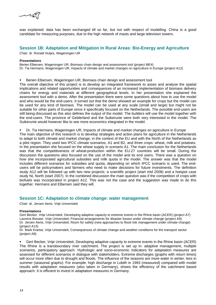

was explained: data has been exchanged till so far, but not with respect of modelling. China is a good candidate for measuring purposes, due to the high network of masts and large television towers.

# **Session 1B: Adaptation and Mitigation In Rural Areas: Bio-Energy and Agriculture**

Chair: dr. Ronald Hutjes, Wageningen UR

#### **Presentations**

Berien Elbersen, Wageningen UR, Biomass chain design and assessment tool (project ME4) Dr. Tia Hermans, Wageningen UR, Impacts of climate and market changes on agriculture in Europe (project A12)

Berien Elbersen, Wageningen UR, Biomass chain design and assessment tool

The overall objective of this project is to develop an integrated framework to asses and analyse the spatial implications and related opportunities and consequences of an increased implementation of biomass delivery chains for energy and materials at different geographical levels. In her presentation she explained the assessment tool with a demo. After the presentation there were some questions about how to use the model and who would be the end-users. It turned out that the demo showed an example for crops but the model can be used for any kind of biomass. The model can be used at any scale (small and large) but might not be suitable for other parts of Europe since it specifically focused on the Netherlands. The possible end-users are still being discussed as this also defines the output of the model. The builders will use the model together with the end-users. The province of Gelderland and the Suikerunie were both very interested in the model. The Suikerunie would however like to see more economics integrated in the model.

Dr. Tia Hermans, Wageningen UR, Impacts of climate and market changes on agriculture in Europe

The main objective of this research is to develop strategies and action plans for agriculture in the Netherlands to adapt to both climate and market change, in the context of the EU and with the North of the Netherlands as a pilot region. They used two IPCC climate scenarios, A1 and B2, and three crops: wheat, milk and potatoes. In the presentation she focused on the wheat supply in scenario A1. The main conclusion for the Netherlands was that the competitiveness of wheat-production within the EU-27 countries will be small. During the discussion the questions also focused on the use of the model and its end users. There was a question on how she incorporated agricultural subsidies and milk quota in the model. The answer was that the model includes different scenarios for subsidies and quota, depending on which IPCC scenario is used. The endusers will be policymakers and farmers who need to make decisions for future investments. The definition study A12 will be followed up with two new projects: a scientific project (start mid 2008) and a hotspot case study NL North (start 2007). In the combined discussion the main question was if the competition of crops with biofuels was incorporated in project A12. This was not the case and the suggestion was made to do this together. Hermans and Elbersen said they will.

# **Session 1C: Adaptation to climate change: water management**

Chair: dr. Jeroen Aerts, Vrije Universiteit

#### **Presentations**

Gert Becker, Vrije Universiteit, Developing adaptive capacity to extreme events in the Rhine basin (ACER) (project A7) Laurens Bouwer, Vrije Universiteit, Financial arrangements for disaster losses under climate change (project A9) Dr. Jeroen Aerts, Vrije Universiteit, Room for safety (new approaches to flood risk management under climate change) (project A13)

Dr. Mark Koetse, Vrije Universiteit, Consequences of climate change and weather conditions for the transport sector (project A8)

 Gert Becker, Vrije Universiteit, Developing adaptive capacity to extreme events in the Rhine basin (ACER) The Rhine is a transboundary river catchment. The project is set up in: adaptive management, multiple scenarios, participatory approach. Hydrologic and socio-economic indicators for adaptation measures are assessed for different scenarios in dialogue with stakeholders. Extreme discharges (graphs with return times) will occur more often due to drought and floods. The influence of the seasons are more water in winter, less in summer (seasonal graphs). For example: high discharge in Lobith in 1993 (measured) compared with model results with adaptation measures (also taken in Germany), shows the efficiency of the catchment based approach. It is efficient to invest in adaptation measures in Germany.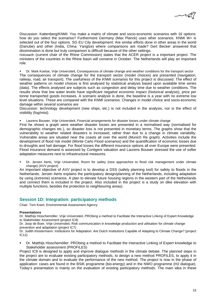Discussion: Kattenberg/KNMI: You make a matrix of climate and socio-economic scenarios with 16 options: how do you select the scenarios? Furthermore Germany (Max Planck) uses other scenarios. KNMI W+ is selected out of the four options. SG EU City development: Are similar efforts done in other areas in the world (Danube) and other (India, China: Yangtze) where comparisons are made? Gert Becker answered that dissimination is done but truly comparison is difficult because of the other settings.

Holzwarth (current chair of the Rhine Commission) states that the ACER project is a important project. The ministers of the countries in the Rhine basin will convene in October. The Netherlands will play an important role.

 Dr. Mark Koetse, Vrije Universiteit, Consequences of climate change and weather conditions for the transport sector The consequences of climate change for the transport sector (model choices) are presented (navigation, railway, road, air transport). The usefulness of the KNMI scenarios for this project is discussed. The effect of weather patterns on model choices is first analysed by statistical analysis based upon available time series (data). The effects analysed are subjects such as congestion and delay time due to weather conditions. The results show that low water levels have significant negative economic impact (historical analysis), price per tonne transported goods increases. A scenario analysis is done, the baseline is a year with no extreme low level situations. These are compared with the KNMI scenarios. Changes in model choice and socio-economic damage within several scenarios are

Discussion: technology development (new ships, etc.) is not included in the analysis, nor is the effect of visibility (fog/mist).

Laurens Bouwer, Vrije Universiteit, Financial arrangements for disaster losses under climate change

First he shows a graph were weather disaster losses are presented in a normalised way (normalised for demographic changes etc.), so disaster loss is not presented in monetary terms. The graphs show that the vulnerability to weather related disasters is increased, rather than due to a change in climate variability. Vulnerable areas are situated near the coasts all over the world (Munich Re graph). Activities include the development of flood risk model (Monte Carlo Flood scenarios) and the quantification of economic losses due to droughts and hail damage. For flood losses the different insurance options all over Europe were presented. Flood insurance demand is assessed by Contigent valuation and Laurens Bouwer stressed the use of softer adaptation measures next to infrastructural measures.

 Dr. Jeroen Aerts, Vrije Universiteit, Room for safety (new approaches to flood risk management under climate change) (AVV project)

An important objective of AVV project is to develop a DSS (safety planning tool) for safety to floods in the Netherlands. Jeroen Aerts explains the participatory design/planning of the Netherlands, including adaptation by using (extreme) scenarios. A plan to elevate future housing regions in the western part of the Netherlands and connect them is included in the project. Also included in the project is a study on dike elevation with multiple functions, besides the protection to neighbouring areas).

# **Session 1D: Integration: participatory methods**

Chair: Tom Kram, Environmental Assessment Agency

# **Presentations**

Dr. Matthijs Hisschemöller, Vrije Universiteit, PRObing a method to Facilitate the Interactive Linking of Expert Knowledge to Stakeholder Assessment (project IC8)

Dr. Joop de Boer, Vrije Universiteit, Risk communication in knowledge production and utilisation for climate change prevention and adaptation (project IC7)

Dr. Judith Klostermann: Institutions for Adaptation: Are Dutch Institutions Capable of Adapting to Climate Change? (project IC12)

 Dr. Matthijs Hisschemöller: PRObing a method to Facilitate the Interactive Linking of Expert knowledge to Stakeholder assessment (PROFILES)

Project IC8 is designed to apply and improve dialogue methods in the climate debate. The planned steps in the project are to evaluate existing participatory methods, to design a new method PROFILES, to apply it in the climate domain and to evaluate the performance of the new method. The project is now in the phase of application: cases are found in the BSIK programme (bio-energy) and in the NWO programme (H2 dialogue). Today's presentation is mainly on the evaluation of existing participatory methods. The main idea in these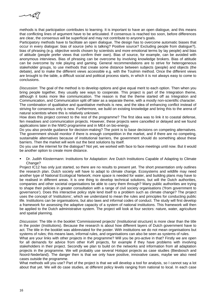

methods is that participation contributes to learning. It is important to have an open dialogue, and this means that conflicting lines of argument have to be articulated. If consensus is reached too soon, before differences are clear, the consensus will be superficial and may not contribute to anyone's goals.

Participatory methods have to facilitate an open dialogue. The design has to overcome automatic biases that occur in every dialogue: bias of source (who is talking? Positive source? Excluding people from dialogue?), bias of phrasing (e.g. objective words chosen by scientists and more emotional terms by lay people) and bias of attitude (people prefer views that confirm their own). Bias of source, for example, can be avoided with anonymous interviews. Bias of phrasing can be overcome by involving knowledge brokers. Bias of attitude can be overcome by role playing and gaming. General recommendations are to strive for heterogeneous stakeholder groups, to use methods that create some distance between subjects (people) and objects (the debate), and to make the different views accessible e.g. with the Toulmin method. Once the different views are brought to the table, a difficult social and political process starts, in which it is not always easy to come to conclusions.

*Discussion*: The goal of the method is to develop options and give equal merit to each option. Then when you bring people together, they usually see ways to cooperate. This project is part of the Integration theme, although it looks more like communication. The reason is that the theme started off as Integration and Communication, and Communication split off later as a separate theme, with a mostly non-scientific character. The combination of qualitative and quantitative methods is new, and the idea of enhancing conflict instead of striving for consensus only is new. Furthermore, we build on existing knowledge and bring this to the arena of natural scientists where this is relatively unknown.

How does this project connect to the rest of the programme? The first idea was to link it to coastal defense, fen meadows and communication projects. However, these projects were cancelled or delayed and we found applications later in the NWO programme and in ME4 on bio-energy.

Do you also provide quidance for decision-making? The point is to base decisions on competing alternatives. The government should monitor if there is enough competition in the market, and if there are no competing, sustainable alternatives because of institutional barriers, the government should do something about these barriers. Then the market will work out the best solutions by itself.

Do you use the internet for the dialogue? Not yet, we worked with face to face meetings until now. But it would be another option to create more distance.

 Dr. Judith Klostermann: Institutions for Adaptation: Are Dutch Institutions Capable of Adapting to Climate Change?

Project IC12 has only just started, so there are no results to present yet. The short presentation only outlines the research plan. Dutch society will have to adapt to climate change. Ecosystems and wildlife may need another type of National Ecological Network; more space is needed for water, and building plans may have to be realised in different areas. It is one thing to develop technical solutions, but will the Dutch authorities, companies and other societal organisations be able to carry them through? Many public authorities are trying to shape their policies in greater consultation with a range of civil society organisations ('from government to governance'). Does this interactive policy style lend itself to a problem such as climate change? The project uses the concept of 'institutions', which we understand to mean the rules and principles for conducting public life. Institutions can be organisations, but also laws and informal codes of conduct. The study will first develop a framework for assessing the adaptive capacity of a system of national institutions. This framework will then be applied to the Dutch administrative system. The project will look at four sectors: nature, water, agriculture and spatial planning.

*Discussion:* The title in the booklet 'Commissioned projects' (Institutional structure) is more clear than the title in the poster (Institutions). Because the research is about how different layers of Dutch government have to act. The title in the booklet was abbreviated for the poster. With institutions we do not mean organisations but systems of rules; this means laws, informal rules, and organisations can also be seen as systems of rules.

What are your links with other projects in the programme? Will you be pro-active in that? Firstly we are open for all demands for advice from other KvR projects, for example if they have problems with involving stakeholders in their project. Secondly we plan to build on the networks and information from all adaptation projects in the programme. We will probably use several Hotspot projects as case studies (Biesbosch and Noord-Nederland). The danger then is that we only have positive, innovative cases, maybe we also need cases outside the programme.

What methods will you use? Part of the project is that we will develop a tool for analysis, so I cannot say a lot about that yet. We will do case studies, at different policy levels ranging from national to local. In each case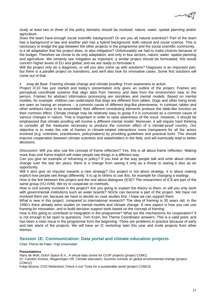study at least two or three of the policy domains should be involved: nature, water, spatial planning and/or agriculture.

Does the team have enough social scientific background? Or are you all natural scientists? Part of the team has a background in law and another part has a hybrid background: both natural and social science. This is necessary to bridge the gap between the other projects in the programme and the social scientific community.

Is it all adaptation that the project does, or also mitigation? Unfortunately we had to make choices because of the budget. Therefore we chose to do only adaptation, and only in four sectors, nature, water, spatial planning and agriculture. We certainly see mitigation as important, a similar project should be formulated, this would concern higher levels of EU and global; and we are ready to formulate it.

Will the project only do a diagnosis, or will you also come up with solutions? Diagnosis is an important part, but there is a parallel project on transitions, and we'll also look for innovative cases. Some first solutions will come out of that.

Joop de Boer: Framing climate change and climate proofing: From awareness to action

Project IC10 has just started and today's presentation only gives an outline of the project. Frames are perceptual coordinate systems that align data from memory and data from the environment near to the person. Frames for abstract information processing are storylines and mental models. Based on mental models, for example, children can understand that dogs are different from tables. Dogs and other living kinds are seen as having an essence – a common cause of different dog-like phenomena. In contrast, tables and other artefacts have to be assembled; their different constituting elements produce the table-like function as their common effect. Climate change may be relatively easy to grasp if it is conceived as a common cause of various changes in nature. That is important in order to raise awareness of the issue. However, it should be emphasised that climate proofing will involve a different mental model. Moreover, it will require hard thinking to consider all the measures necessary to produce the common effect of a climate-proof country. Our objective is to make the role of frames in climate-related interactions more transparent for all the actors involved (e.g. scientists, practitioners, policymakers) by providing guidelines and practical tools. This should improve cooperation between climate scientists and stakeholders in the field, and will eventually lead to better decisions.

*Discussion*: Will you also use the concept of frame reflection? Yes, this is all about frame reflection. Making more than one frame explicit will make people see things in a different way.

Can you give an example of reframing in policy? If you look at the way people talk and write about climate change over the last ten years, there is a change from seeing it only as a threat to seeing it also as an opportunity.

Will it also give an impulse towards a new strategy? Our project is not about strategy, it is about making explicit how people see things differently. It is up to others to use this, for example for changing a strategy.

How is the link between this project and the one about dialogues (IC8)? The researchers of IC8 are part of the same group (VU-IVM). We try to cooperate on methods.

How is civil society involved in the project? Are you going to explain the theory to them, or will you only work with governmental institutions such as water boards? NGOs can become a part of the project. We have not involved them yet, because we have to decide on case studies first. I hope we can support them.

What is new in this project, compared to international research? The idea of framing is 30 years old. In the 1990's there already were studies on mental models and climate change. A new aspect is how you can use framing for innovation, and to build decision support tools based on the concept of framing.

How is this going to contribute to integration in the programme? What are the mechanisms for cooperation? It is not enough to be open to questions. Tom Kram, the Theme Coordinator answers: This is a valid point, and has been a main issue in the programme from the beginning. There are problems in practice because of early and late starts of the projects. We will have an IC workshop later this year and invite projects from other themes.

# **Session 1E: Communication: Data portal and climate education projects**

Chair: Florrie de Pater, Vrije Universiteit

#### **Presentations**

Hans de Wolf, Dutch Space B.V., A virtual data centre for CcSP projects (project COM1)

Dr. Carolien Kroeze, Wageningen UR, Climate education: Summer schools on global environmental change (project COM12)

Fokje Bosma, COS Nederland, Check it out! Tools for a sustainable world (project COM13)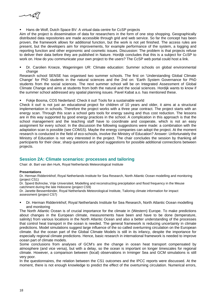كعميم

Hans de Wolf, Dutch Space BV: A virtual data centre for CcSP projects

Aim of the project is dissemination of data for researchers in the form of one stop shopping. Geographically distributed data repositories are made accessible through grid and web service. So far the concept has been proven, the framework allows for additional function, but the work is not yet finished. The access rules are present, but the developers aim for improvements, for example performance of the system, a logging and reporting function and other ergonomic and cosmetic issues. Discussion: The problem is that projects refuse to deliver their data before they are published in Nature. Hordijk concludes that this is a subject for CcSP to work on. How do you communicate your own project to the users? The CcSP web portal could host a link.

 Dr. Carolien Kroeze, Wageningen UR: Climate education: Summer schools on global environmental change

Research school SENSE has organised two summer schools. The first on 'Understanding Global Climate Change' for PhD students in the natural sciences and the 2nd on: 'Earth System Governance for PhD students from the social sciences. The next summer school will be on Integrated Assessment of Global Climate Change and aims at students from both the natural and the social sciences. Hordijk wants to know if the summer school addressed any spatial planning issues. Pavel Kabat a.o. has mentioned these.

Fokje Bosma, COS Nederland: Check it out! Tools for a sustainable world

Check it out! is not just an educational project for children of 10 years and older, it aims at a structural implementation in schools. Therefore the project works with a three year contract. The project starts with an energy scan. Through this scan a school gets tools for energy saving and thus cost reduction. The lessons are in this way supported by good energy practices in the school. A complication in this approach is that the school management and the teaching staff have to coordinate and cooperate, which is not an easy assignment for every school. In the discussion the following suggestions were made: a combination with the adaptation scan is possible (see COM15). Maybe the energy companies can adopt the project. At the moment research is conducted in the field of eco-schools, involve the Ministry of Education? Answer: Unfortunately the Ministry of Education is not very interested in the project. The chair concludes the session by thanking all participants for their clear, sharp questions and good suggestions for possible additional connections between projects.

# **Session 2A: Climate scenarios: processes and tailoring**

Chair: dr. Bart van den Hurk, Royal Netherlands Meteorological Institute

#### **Presentations**

Dr. Herman Ridderinkhof, Royal Netherlands Institute for Sea Research, North Atlantic Ocean modelling and monitoring (project CS1)

Dr. Sjoerd Bohncke, Vrije Universiteit, Modelling and reconstructing precipitation and flood frequency in the Meuse catchment during the late Holocene (project CS9)

Dr. Janette Bessembinder, Royal Netherlands Meteorological Institute, Tailoring climate information for impact assessment (project CS7)

 Dr. Herman Ridderinkhof, Royal Netherlands Institute for Sea Research, North Atlantic Ocean modelling and monitoring

The North Atlantic Ocean is of crucial importance for the climate in (Western) Europe. To make predictions about changes in the European climate, measurements have been and have to be done (temperature, salinity) from various locations in the North Atlantic Ocean and also a better understanding of the processes that control heat transport in the ocean is needed. The general framework is reducing uncertainty in climate predictions. Model simulations suggest large influence of the so called overturning circulation on the European climate. But the ocean part of the Global Climate Models is still in its infancy, despite the importance for especially regional climate predictions. Hence, basic research in international framework is needed to improve ocean part of climate models.

Some conclusions from analyses of GCM's are the change in ocean heat transport compensated by atmosphere (and vice versa), but with a delay, so the ocean is important on longer timescales for regional climate. However, a comparison between (local) observations in Irminger Sea and GCM simulations is still very poor.

In the questionnaires, the relation between the CS1 outcomes and the IPCC reports were discussed. At the moment, there is not enough knowledge to predict the effect of the overturning circulation. Numerical errors,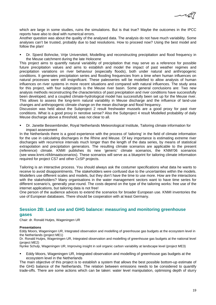

which are large in some studies, ruins the simulations. But is that true? Maybe the outcomes in the IPCC reports have also to deal with numerical errors.

Another question was about the quality of the analysed data. The analysis do not have much variability. Some analyses can't be trusted, probably due to bad resolutions. How to proceed now? Using the best model and follow the plan!

 Dr. Sjoerd Bohncke, Vrije Universiteit, Modelling and reconstructing precipitation and flood frequency in the Meuse catchment during the late Holocene

This project aims to quantify natural variability of precipitation that may serve as a reference for possible future precipitation values and aims to establish and model the impact of past weather regimes and precipitation variations on river behaviour (especially floods), both under natural and anthropogenic conditions. It generates precipitation series and flooding frequencies from a time when human influences on natural processes were still insignificant. These paleoseries will be modelled to allow analysis of human influences on river systems in more recent situations and compared with natural influences. The study area for this project, with four subprojects is the Meuse river basin. Some general conclusions are: Two new analysis methods reconstructing the characteristics of past precipitation and river conditions have successfully been developed, and a coupled climate-hydrological model has successfully been set up for the Meuse river. This allows to assess the long-term natural variability in Meuse discharge and the influence of land-use changes and anthropogenic climate change on the mean discharge and flood frequency.

Discussion was held about the Subproject 2 result freshwater mussels are a good proxy for past river conditions. What is a good proxy in nerotive sense? Also the Subproject 4 result Modelled probability of daily Meuse discharge above a threshold, was not clear to all.

 Dr. Janette Bessembinder, Royal Netherlands Meteorological Institute, Tailoring climate information for impact assessment

In the Netherlands there is a good experience with the process of 'tailoring' in the field of climate information for the use in calculating discharges in the Rhine and Meuse. Of key importance is estimating extreme river discharges with recurrence intervals much longer than the length of the data series, by means of statistical extrapolation and precipitation generators. The resulting climate scenarios are applicable to the present (reference) climate. KNMI publishes its new 'generic' climate scenarios, the KNMI'06 scenarios (see www.knmi.nl/klimaatscenarios). These scenarios will serve as a blueprint for tailoring climate information required for project CS7 and other CcSP projects.

Tailoring is an interactive process. You should always ask the costumer specifications what data he wants to receive to avoid disappointments. The stakeholders were confused due to the uncertainties within the models. Modellers use different scales and models, but they don't have the time to use more. How are the interactions with the stakeholders? Many organisations in the water management sectors want to have time series for different scenario's, generally year-round. The costs depend on the type of the tailoring works: free use of the internet applications, but tailoring data is not free!

One person of the audience advices to extend the scenarios for broader European use. KNMI inventories the use of European databases. There should be cooperation with at least Germany.

# **Session 2B: Land use and GHG balance: measuring and monitoring greenhouse gases**

Chair: dr. Ronald Hutjes, Wageningen UR

# **Presentations**

Eddy Moors, Wageningen UR, Integrated observation and modelling of greenhouse gas budgets at the ecosystem level in the Netherlands (project ME1)

Dr. Ronald Hutjes, Wageningen UR, Integrated observation and modelling of greenhouse gas budgets at the national level (project ME2)

Nynke Schulp, Wageningen UR, Improving insight in soil organic carbon variability at landscape level (project ME3)

 Eddy Moors, Wageningen UR, Integrated observation and modelling of greenhouse gas budgets at the ecosystem level in the Netherlands

The main objective of this project is to establish a system that allows the best possible bottom-up estimate of the GHG balance of the Netherlands. The relation between emissions needs to be considered to quantify trade-offs. There are some actions which can be taken: water level manipulation, optimising depth of slurry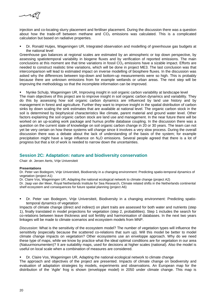

injection and co-locating slurry placement and fertiliser placement. During the discussion there was a question about how the trade-off between methane and  $CO<sub>2</sub>$  emissions was calculated. This is a complicated calculation but based on radiative properties.

 Dr. Ronald Hutjes, Wageningen UR, Integrated observation and modelling of greenhouse gas budgets at the national level

Greenhouse gas balances at regional scales are estimated by an atmospheric or top down perspective, by assessing spatiotemporal variability in biogene fluxes and by verification of reported emissions. The main conclusions at this moment are that time variations in fossil  $CO<sub>2</sub>$  emissions have a sizable impact. Efforts are needed to construct realistic time variations, which will be done in project ME3. The last conclusion was that intercomparison will lead to estimated impact on inverse modelling of biosphere fluxes. In the discussion was asked why the differences between top-down and bottom-up measurements were so high. This is probably because there are unknown emissions from for example wetlands or urban areas. The next step will be improving the methodology so that the incomplete information can be improved.

Nynke Schulp, Wageningen UR, Improving insight in soil organic carbon variability at landscape level

The main objectives of this project are to improve insight in soil organic carbon dynamics and variability. They do this by assessing how soil organic carbon dynamics are influenced by land use history and by management in forest and agriculture. Further they want to improve insight in the spatial distribution of carbon sinks by down scaling the sink estimates that are available at national level. The organic carbon stock in the soil is determined by biophysical characteristics like climate, parent material and ground water level. Other factors explaining the soil organic carbon stock are land use and management. In the near future there will be worked on an up-scaling work package and humus profile database coupling. In the discussion there was a question on the current state of knowledge on soil organic carbon change in 20 or 30 years. The team can not yet be very certain on how these systems will change since it involves a very slow process. During the overall discussion there was a debate about the lack of understanding of the basis of the system; for example precipitation might have a large influence on  $N<sub>2</sub>O$  emissions. Several people agreed that there is a lot of progress but that a lot of work is needed to narrow down the uncertainties.

# **Session 2C: Adaptation: nature and biodiversity conservation**

Chair: dr. Jeroen Aerts, Vrije Universiteit

# **Presentations**

Dr. Peter van Bodegom, Vrije Universiteit, Biodiversity in a changing environment: Predicting spatio-temporal dynamics of vegetation (project A1)

Dr. Claire Vos, Wageningen UR, Adapting the national ecological network to climate change (project A2)

Dr. Jaap van der Meer, Royal Netherlands Institute for Sea Research, Climate related shifts in the Netherlands continental shelf ecosystem and consequences for future spatial planning (project A6)

 Dr. Peter van Bodegom, Vrije Universiteit, Biodiversity in a changing environment: Predicting spatiotemporal dynamics of vegetation

Impacts of climate change (direct and indirect) on plant traits are assessed for both water and nutrients (step 1), finally translated in model projections for vegetation (step 2, probabilities). Step 1 includes the search for co-relations between leave thickness and soil fertility and harmonisation of databases. In the next two years linkages will be made to climate scenarios and ecosystem models from MNP.

*Discussion:* What is the sensitivity of the ecosystem model? The number of vegetation types will influence the sensititvity (especially because the scattered co-relations that sum up). Will this model be better to model climate change impacts on vegetation? Other ecosystems use an enveloppe approach. Why do we need these type of maps, while we know by practice what the ideal optimal conditions are for vegetation in our area (Natuurmonumenten)? It are suitability maps, used for decisions at higher scales (national). Also the model is useful on local scale when a combination of measures are considered.

# Dr. Claire Vos, Wageningen UR, Adapting the national ecological network to climate change

The approach and objectives of the project are presented. Impacts of climate change on biodiversity and evaluation of adaptation strategies by models, experiments and observations. An European map for the distribution of the 'Agile' frog is shown (enveloppe model) in 2050 under climate change. This map is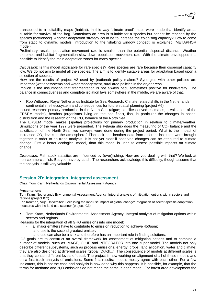

transposed to a suitability maps (habitat). In this way 'climate proof' maps were made that identify areas suitable for survival of the frog. Sometimes an area is suitable for a species but cannot be reached by the species (bottleneck). Another adaptation strategy could be to increase the colonising capacity? How to come from static to dynamic models: introduction to the 'shaking window concept' is explained (METAPHOR model).

Preliminary results: population movement rate is smaller than the potential dispersal distance. Weather extremes and habitat fragmentation slow down population movement rate. With the climate enveloppes it is possible to identify the main adaptation zones for many species.

*Discussion*: Is this model applicable for rare species? Rare species are rare because their dispersal capacity low. We do not aim to model all the species. The aim is to identify suitable areas for adaptation based upon a selection of species.

How are the results of project A2 used by (national) policy makers? Synergies with other policies are important (wet ecosystems and water management, rural area policies in the dryer areas.

Implicit is the assumption that fragmentation is not always bad, sometimes positive for biodiversity. The balance in connectiveness and complete isolation lays somewhere in the middle, we are aware of that.

 Rob Witbaard, Royal Netherlands Institute for Sea Research, Climate related shifts in the Netherlands continental shelf ecosystem and consequences for future spatial planning (project A6)

Issued research: primary production in the North Sea (algae; satellite derived estimates, a validation of the ERSEM model), benthos (organisms living on the sea floor), fish, in particular the changes in spatial distribution and the research on the  $CO<sub>2</sub>$  balance of the North Sea.

The ERSEM model makes (spatial) projections for primary production in relation to climate/weather. Simulations of the year 1997 were presented. The Pelagia ship does the measuring of  $CO<sub>2</sub>$  balance and the acidification of the North Sea, two surveys were done during the project period. What is the impact of increased CO<sub>2</sub> levels in the atmosphere? Fishstock and benthos data from different institutes were brought together in order to do trend analysis. It is not yet clear if observed changes can be attributed to climate change. First a better ecological model, than this model is used to assess possible impacts on climate change.

*Discussion:* Fish stock statistics are influenced by (over)fishing. How are you dealing with that? We look at non-commercial fish. But you have by-catch. The researchers acknowledge this difficulty, though assume that the analysis is still very valuable.

# **Session 2D: Integration: integrated assessment**

Chair: Tom Kram, Netherlands Environmental Assessment Agency

#### **Presentations**

Tom Kram, Netherlands Environmental Assessment Agency, Integral analysis of mitigation options within sectors and regions (project IC2)

Eric Koomen, Vrije Universiteit, Localising the land use impact of global change: integration of sector-specific adaptation measures with the land use scanner (project IC3)

 Tom Kram, Netherlands Environmental Assessment Agency, Integral analysis of mitigation options within sectors and regions

Reasons for the integration of all GHG emissions into one model:

- all major emitters have to contribute to emission reduction to achieve 450ppm;
- land use is the second greatest emitter;
- land use can also be a sink and therefore has an important role in finding solutions.

IC2 goals are to construct an overall framework for assessment of mitigation options and to combine a number of models, such as IMAGE, CLUE and INTEGRATOR into one super-model. The models not only describe different subsystems, such as process emissions, energy, crops, land allocation, water and climate; they are also designed at different scales (global, Dutch...). The consequence of models at different scales is that they contain different levels of detail. The project is now working on alignment of all of these models and on a fast track analysis of emissions. Some first results: models mostly agree with each other. For a few indicators, this is not the case and analysis is now done why this happens. It is possible, for example, that the terms for methane and N<sub>2</sub>O emissions do not mean the same in each model. For forest area development the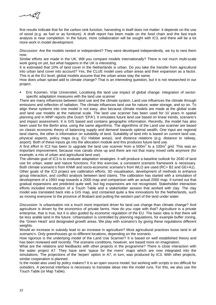

first results indicate that for the carbon sink function, harvesting in itself does not matter: it depends on the use of wood (e.g. as fuel or as furniture). A draft report has been made on the food chain and the fast track analysis is near completion. In the future, more collaboration will be sought with IC3, and there will be a lot more work in model development.

*Discussion*: Are the models nested or independent? They were developed independently, we try to nest them now.

Similar efforts are made in the UK. Will you compare models internationally? There is not much multi-scale work going on yet, but what happens in the UK is interesting.

It is estimated that 10% of land cover in the Netherlands is urban. Do you take the transfer from agricultural into urban land cover into account? Yes, the CLUE model uses urban areas and their expansion as a factor. This is at the EU level; global models assume that the urban areas stay the same.

How does urban sprawl add to climate change? That is an interesting question, but it is not researched in our project.

 Eric Koomen, Vrije Universiteit, Localising the land use impact of global change: integration of sectorspecific adaptation measures with the land use scanner

There are many influences between land use and the climate system. Land use influences the climate through emissions and reflection of radiation. The climate influences land use for nature, water storage, and so on. To align these systems into one model is not easy, also because climate models are made at the global scale and land use models at the national scale. The land use scanner has been used for 10 years in spatial planning and in MNP reports (the Dutch 'EPA'). It simulates future land use based on linear trends, scenario's and impact assessment. It is GIS based and contains geographic information. Recently, the model has also been used for the Berlin area, using the same algorithms. The algorithms of the Land use scanner are based on classic economic theory of balancing supply and demand towards optimal wealth. One input are regional land claims, the other is information on suitability of land. Suitability of land info is based on current land use, physical aspects, policy maps (e.g. EU Habitat areas), and distance relations (e.g. distance to railway, airport). Both of these inputs go into the allocation module and this produces future land use.

A first effort in IC3 has been to upgrade the land use scanner from a 500m<sup>2</sup> to a 100m<sup>2</sup> grid. This was an important improvement, because now canals show up and there are not that many mixed cells anymore (for example, a mix of urban and agricultural land use).

The ultimate goal of IC3 is to evaluate adaptation strategies. It will produce a baseline outlook for 2040 of land use for urban, water and nature functions. For this exercise, a consistent scenario framework is necessary. Both climate scenario's from KNMI and socio-economic scenario's from WLO are used (RC+ B2 and GE+A1). Other goals of the IC3 project are calibration efforts, 3D visualisation, development of methods to enhance group interaction, and conflict analysis between land claims. The calibration has started with a simulation of development of a 1993 map towards a 2000 map and comparison with an actual 2000 map. It turned out that gradual expansions are predicted quite well, but big expansions are not recognised. Stakeholder interaction efforts included introduction of a Touch Table and a stakeholder session that worked with clay. The clay model was translated back into a GIS map, and contained quite a few innovations for the Netherlands, such as moving everyone to the province of Brabant and putting the western part of the land under water.

*Discussion*: Is urbanisation not a much more important driver for land use change than climate change? And agriculture is driven by the economics of private farms. How do you cope with that? Agriculture is a private enterprise, that is true, but it is also guided by economic regulation of the EU. The basic idea is that there will be less arable land in the future. Urbanisation is controlled by planning regulations, for example buffer zoning, the 'Green Heart' and designated growth areas. We play with scenario's by giving these regulations different weights.

Would an increase in subsidy lead to an increase in agriculture? Most agricultural practices loose land in all scenario's. Only greenhouses go to different locations, depending on the scenario.

How rigorous is the underlying model of the Land Use Scanner? It is based on well established theory and has been reviewed well recently. The scenario conditions, however, are based more on imagination.

What are the relations and feedbacks with other projects in the programme? There is close interaction with the water project A7. They have sent 'space for the rivers' maps which are now integrated into the simulations. The projections of the 'terpen' option in A7, in turn, was produced by IC3. With other projects, similar cooperation is planned.

Is the model also used by policy makers? It is an open source model, but working with scripts is too difficult for outsiders. A personal interface is necessary to translate ideas into the model runs. For this, we also use the Touch Table (or Map Table).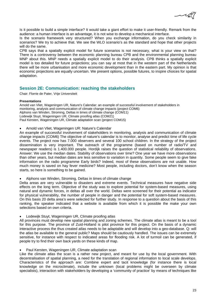Is it possible to build a simple interface? It would take a giant effort to make it user-friendly. Remark from the audience: a human interface is an advantage, it is not wise to develop a mechanical interface.

Is the scenario framework very structured? When you exchange information, do you check similarity in scenarios? We try to achieve that. We see the WLO scenario's as the standard and hope that other projects will do the same.

CPB says that a spatially explicit model for future scenarios is not necessary, what is your view on that? There is a controversy between the economic planning bureau CPB and the environmental planning bureau MNP about this. MNP needs a spatially explicit model to do their analysis. CPB thinks a spatially explicit model is too detailed for future projections; you can say at most that in the western part of the Netherlands there will be more urbanisation and more economic development than in the eastern part. My opinion is that economic projections are equally uncertain. We present options, possible futures, to inspire choices for spatial adaptation.

# **Session 2E: Communication: reaching the stakeholders**

Chair: Florrie de Pater, Vrije Universiteit

#### **Presentations**

Arnold van Vliet, Wageningen UR, Nature's Calendar: an example of successful involvement of stakeholders in monitoring, analysis and communication of climate change impacts (project COM6) Alphons van Winden, Stroming, Deltas in times of climate change (COM11) Lodewijk Stuyt, Wageningen UR, Climate proofing atlas (COM21) Paul Kersten, Wageningen UR, Climate adaptation scan (project COM15)

• Arnold van Vliet, Wageningen UR: Nature's Calendar

An example of successful involvement of stakeholders in monitoring, analysis and communication of climate change impacts (COM6) The objective of nature's calendar is to monitor, analyse and predict time of life cycle events. The project now has 7.000 observers and several 100 school children. In the strategy of the project dissemination is very important. The outreach of the programme (based on number of radio/TV and newspaper readers) is 1.400.000 people. Hordijk raises the question of statistical reliability of observations. Answer: We use the median dates. Stability of observations over time? One year we have more observations than other years, but median dates are less sensitive to variation in quantity. Some people seem to give fake information on the radio programme Early birds? Indeed, most of these observations are not usable. How much money is saved on hay fever medicine? Most people, including doctors, don't know when the season starts, so here is something to be gained.

• Alphons van Winden, Stroming, Deltas in times of climate change

Delta areas are very vulnerable to disasters and extreme events. Technical measures have negative side effects on the long term. Objective of the study was to explore potential for system-based measures, using natural and dynamic forces, in deltas all over the world. Deltas were screened for their potential as indicator for physical vulnerability, the number of people in danger and the potential for soft system-based measures. On this basis 20 delta area's were selected for further study. In response to a question about the basis of this ranking, the speaker indicated that a website is available from which it is possible the make your own selections based on own criteria.

• Lodewijk Stuyt, Wageningen UR, Climate proofing atlas

All provinces must develop new spatial planning and zoning schemes. The climate atlas is meant to be a tool for this purpose. The province of Zuid-Holland is pilot province for this project. On the basis of a dynamic interactive process the thus created atlas needs to be adaptable and will develop into a geo-database. Q: will the atlas be available to the general public? Maps should be cautiously handled. The issues can be extremely sensitive, for instance with respect to indicated areas for flooding risk. A lot of turmoil can be generated, if people try to find their own back yards on these kinds of map.

# • Paul Kersten, Wageningen UR, Climate adaptation scan

Like the climate atlas the scan is a rather new project, and meant for use by the local government. With decentralisation of spatial planning, a need for the translation of regional information to local scale develops. Characteristics of the approach are: Combine expert and tacit knowledge (for instance there is local knowledge on the microclimate), include the unknown (local problems might be overseen by climate specialists), interaction with stakeholders by developing a 'community of practice' by means of techniques like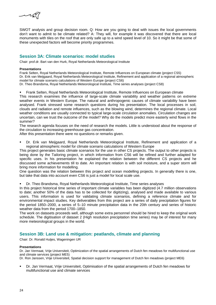

SWOT analysis and group decision room. Q: How are you going to deal with issues the local governments don't want to admit to be climate related? A: They will, for example it was discovered that there are local monuments with tiles on the roof that are only safe up to a wind speed level of 10. So it might be that some of these unexpected factors will become priority programmes.

# **Session 3A: Climate scenarios: model studies**

Chair: prof.dr. Bart van den Hurk, Royal Netherlands Meteorological Institute

#### **Presentations**

Frank Selten, Royal Netherlands Meteorological Institute, Remote Influences on European climate (project CS5) Dr. Erik van Meijgaard, Royal Netherlands Meteorological Institute, Refinement and application of a regional atmospheric model for climate scenario calculations of Western Europe (project CS6)

Dr. Theo Brandsma, Royal Netherlands Meteorological Institute, Time series analyses (project CS8)

Frank Selten, Royal Netherlands Meteorological Institute, Remote Influences on European climate

This research examines the influence of large-scale climate variability and weather patterns on extreme weather events in Western Europe. The natural and anthropogenic causes of climate variability have been analysed. Frank stressed some research questions during his presentation. The local processes in soil, clouds and radiation and remote influences, such as the blowing wind, determines the regional climate. Local weather conditions are usually connected to typical large-scale circulation anomalies. Circulation changes are uncertain, can we trust the outcome of the model? Why do the models predict more easterly wind flows in the summer?

The research agenda focuses on the need of research the models. Little is understood about the response of the circulation to increasing greenhouse gas concentration.

After this presentation there were no questions or remarks given.

 Dr. Erik van Meijgaard, Royal Netherlands Meteorological Institute, Refinement and application of a regional atmospheric model for climate scenario calculations of Western Europe

This project generates basic climate scenarios for the use in other CS projects. The output to other projects is being done by the Tailoring project, in which information from CS6 will be refined and further adapted for specific uses. In his presentation he explained the relation between the different CS projects and he discussed some achievements till to date. An important relation is with soil moisture, and a super storm will bring more information for modelling.

One question was the relation between this project and ocean modelling projects. In generally there is one, but take that data into account even CS6 is just a model for local scale use.

Dr. Theo Brandsma, Royal Netherlands Meteorological Institute, Time series analyses

In this project historical time series of important climate variables has been digitized (4.7 million observations to date; another 50% of the data has to be collected for digitizing), analysed and made available to various users. This information is used for validating climate scenarios, defining a reference climate and for environmental impact studies. Key deliverables from this project are a series of daily precipitation figures for the period 1850–2000, a series of 5–10 minute precipitation data in the 20th century and series of historic weather data from the period 1700–1850.

The work on datasets proceeds well, although some extra personnel should be hired to keep the original work schedule. The digitisation of dataset 2 (High resolution precipitation time series) may be of interest for many more meteorological groups in the world.

# **Session 3B: Land use & mitigation: peatlands, climate and planning**

Chair: Dr. Ronald Hutjes, Wageningen UR

# **Presentations**

Dr. Jan Vermaat, Vrije Universiteit, Optimization of the spatial arrangements of Dutch fen meadows for multifunctional use and climate services (project ME5)

Dr. Ron Janssen, Vrije Universiteit, Spatial decision support for management of Dutch fen meadows (project ME6)

 Dr. Jan Vermaat, Vrije Universiteit, Optimisation of the spatial arrangements of Dutch fen meadows for multifunctional use and climate services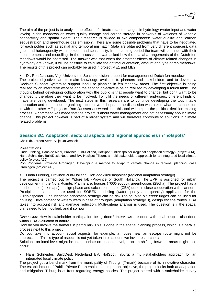

The aim of the project is to analyse the effects of climate-related changes in hydrology (water input and water levels) in fen meadows on water quality change and carbon storage in networks of wetlands of variable connectivity and spatial extent. Their research is divided in two components: 'water quality' and 'carbon sequestration and greenhouse gas emission'. There are some possible problems that have to be negotiated for each polder such as spatial and temporal mismatch (data are obtained from very different sources), data gaps and heterogeneity within polders and seasonality. In the coming period the team will continue with their measurements and modelling. In the discussion it was asked how the spatial arrangements of the Dutch fen meadows would be optimised. The answer was that when the different effects of climate-related changes in hydrology are known, it will be possible to calculate the optimal orientation, amount and type of fen meadows. The results of this project can probably be used in project ME1 and ME2.

Dr. Ron Janssen, Vrije Universiteit, Spatial decision support for management of Dutch fen meadows

The project objectives are to make knowledge available to planners and stakeholders and to develop a Decision Support System to support land use planning in fen meadow areas. The first objective is being realised by an interactive website and the second objective is being realised by developing a touch table. The thought behind developing collaboration with the public is that people want to change, but don't want to be changed… therefore they want to be involved. To fulfil the needs of different end-users, different kinds of maps are being developed. The next steps in this research are to continue developing the touch table application and to continue organising different workshops. In the discussion was asked what the connection is with the other ME projects. Ron Janssen answered that this tool will help in the political decision making process. A comment was made that the project is about water management and not necessarily about climate change. This project however is part of a larger system and will therefore contribute to solutions in climate related problems.

# **Session 3C: Adaptation: sectoral aspects and regional approaches in 'hotspots'**

Chair: dr. Jeroen Aerts, Vrije Universiteit

#### **Presentations**

Linda Frinking, Hans de Moel, Province Zuid-Holland, HotSpot ZuidPlaspolder (regional adaptation strategy) (project A14) Hans Schneider, BuildDesk Nederland BV, HotSpot Tilburg: a multi-stakeholders approach for an integrated local climate policy (project A16)

Rob Roggema, Province Groningen, Developing a method to adapt to climate change in regional planning: case Groningen (project A18)

Linda Frinking, Province Zuid-Holland, HotSpot ZuidPlaspolder (regional adaptation strategy)

The project is carried out by Xplore lab (Province of South Holland). The ZPP is assigned for urban development in the Nota Ruimte. Planns are: houses (7000-30000), greenhouses (280ha). The project has a model phase (risk maps), design phase and calculation phase (CBA) done in close cooperation with planners. Precipitation scenarios are used for SOBEK modelling (water quality and quantity) applicated for the Zuidplaspolder. One identified adaptation strategy can be risk zoning, also old creek ridges can be used for housing. Development of waterbuffers in case of droughts (adaptation strategy 3), design escape routes. CBA takes into account risk and damage reduction. Multi-criteria analysis is used. The question is if the spatial plans need to be modified, and if so how.

*Discussion*: How is stakeholder participation being done? Interviews are done with local people, also done within CBA (valuation of nature).

How do you involve the farmers in particular? This is done in the spatial planning process, which is a parallel process next to this project.

Do you take into account social aspects, for example, a house near an escape route might not be appreciated. This is type of aspects is not yet taken into account, we invite researchers.

Solutions on local level might be inappropriate on national level, problem shifting between areas might also occur.

 Hans Schneider, BuildDesk Nederland BV, HotSpot Tilburg: a multi-stakeholders approach for an integrated local climate policy

The project got a benchmark from the municipality of Tilburg (T-mark) because of its innovative character. The establishment of Public-Private Partnership is an important objective, the project looks both at adaptation and mitigation. Tilburg is at front regarding energy policies. The project started with a stakeholder survey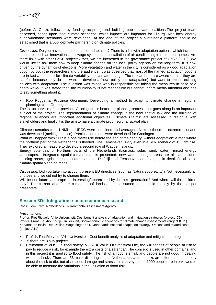

(before Al Gore), followed by funding acquiring and building public-private coalitions.The project team assessed, based upon local climate scenarios, which impacts are important for Tilburg. Also local energy supply/demand scenarios were developed. At the end of the project a sustainable platform should be established that is a public-private partnership on climate policies.

*Discussion*: Do you have concrete ideas for adaptation? There is a list with adaptation options, which includes measures such as innovations in sewage systems and installation of air conditioning in retirement homes. Are there links with other CcSP projects? Yes, we are interested in the governance project of CcSP (IC12). We would like to ask them how to keep climate change on the local policy agenda on the long-term, it is now driven by the dynamics of elections. More vegetation and water in the city is considered as a good adaptation option by both the researchers and the audience. It was observed that most of the named adaptation options are in fact a measure for climate variability, not climate change. The researchers are aware of that, they are careful, because they do not want to develop a 'new' policy line (adaptation), but want to extend existing policies with adaptation. The question was raised who is responsible for taking the measures in case of a heath wave/ It was stated that the municipality is not responsible but cannot ignore media attention and has to say something about it.

 Rob Roggema, Province Groningen, Developing a method to adapt to climate change in regional planning: case Groningen

The 'structuurvisie of the province Groningen', or better the planning process that goes along is an important subject of the project. The implementation of climate change in the new spatial law and the building of regional alliances are important additional objectives. 'Climate Claims' are assessed in dialogue with stakeholders and finally it is the aim to have a climate proof regional spatial plan.

Climate scenarios from KNMI and IPCC were combined and averaged. Next to these an extreme scenario was developed (melting land ice). Precipitation maps were developed for Groningen.

What will happen with SLR is a one meter rise before the end of the century, without adaptation: a map where the northern part of the Netherlands is flooded. The Eemshaven is dry even in a SLR scenario of 150 cm rise. They explored a measure to develop a second row of Wadden Islands.

Energy potentials of Northern parts of the Netherlands (biomass, solar, wind, water); mixed energy landscapes. Integrated spatial-climate map is presented: new water storage areas are allocated, idem building areas, agriculture and nature areas. Delftzijl and Eemshaven are mapped in detail (local scale climate-spatial planning maps).

*Discussion*: Did you take into account present EU directives (such as Natura 2000 etc…)? Not necessarily all of those and we did not try to change them.

Will be our future landscape be interesting/appreciated by the next generation? And where will the children play? The current and future climate proof landscape is assumed to be child friendly by the hotspot presenters.

# **Session 3D: Integration: socio-economic research**

Chair: Tom Kram, Netherlands Environmental Assessment Agency

# **Presentations**

Prof.dr. Piet Rietveld, Vrije Universiteit, Cost benefit analysis of adaptation and mitigation strategies (project IC5) Prof.dr. Frans Berkhout, Vrije Universiteit, Socio-economic scenarios for climate change assessments (project IC11) Karianne de Bruin, Rob Dellink, Wageningen UR, Netherlands national adaptation strategy: Options and related costs (project A11)

 Prof.dr. Piet Rietveld, Vrije Universiteit, Cost benefit analysis of adaptation and mitigation strategies In IC5 there are 3 sub-projects:

1. Estimation of VOSL in flood safety: VOSL = Value Of Statistical Life, the willingness of people at risk to pay to reduce a risk, for example the extra costs of a safer car. The concept is used in other domains, and in this project it is applied to flood safety. The risk of a flood is small, and people are not good in dealing with small risks. There are 53 major dike rings in the Netherlands, and the risks are different. It is not only about the risk to die, but also about damage and stress. In a survey, about 1000 people are interviewed to be able to measure the variations in the valuation of flood risk.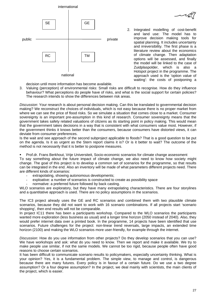

- 
- 2. Integrated modelling of cost-benefit and land use: The model has to improve decision making tools for spatial planning. It includes uncertainty and irreversibility. The first phase is a literature review about the economics of climate change. Then adaptation options will be assessed, and finally the model will be linked to the case of Zuidplaspolder, which is also a Hotspot project in the programme. The approach used is the 'option value of waiting': the costs of postponing a

decision until more information has become available.

3. Valuing (perception) of environmental risks: Small risks are difficult to recognise. How do they influence behaviour? What perceptions do people have of risks, and what is the social support for certain policies? The research intends to show the differences between risk areas.

*Discussion*: Your research is about personal decision making. Can this be translated to governmental decision making? We reconstruct the choices of individuals, which is not easy because there is no proper market from where we can see the price of flood risks. So we simulate a situation that comes close to a market. Consumer sovereignty is an important pre-assumption in this kind of research. Consumer sovereignty means that the government takes safety related valuations of citizens as its starting point in policy making. This would mean that the government takes decisions in a way that is consistent with what consumers value most. However, if the government thinks it knows better than the consumers, because consumers have distorted views, it can deviate from consumer preferences.

Is the wait and see approach of the second subproject applicable to floods? That is a good question to be put on the agenda. Is it as urgent as the Stern report claims it is? Or is it better to wait? The outcome of the method is not necessarily that it is better to postpone measures.

Prof.dr. Frans Berkhout, Vrije Universiteit, Socio-economic scenarios for climate change assessment

To say something about the future impact of climate change, we also need to know how society might change. The goal of this project is to develop a common set of scenarios for the programme, so that results can be integrated in the end. Also an inventory will be made of what parameters different projects need. There are different kinds of scenarios:

- extrapolating, showing autonomous developments;
- exploative: a number of scenarios is constructed to create as possibility space
- normative: a preferred future followed by back casting.

WLO scenarios are exploratory, but they have many extrapolating characteristics. There are four storylines and a quantitative approach is used. There are no policy assumptions in the scenarios.

The IC3 project already uses the GE and RC scenarios and combined them with two plausible climate scenarios, because they did not want to work with 16 scenario combinations. If all projects start 'scenario shopping', then end results will not be comparable.

In project IC11 there has been a participants workshop. Compared to the WLO scenarios the participants wanted more exploration (less business as usual) and a longer time horizon (2050 instead of 2040). Also, they would prefer internet data over a printed book. In the programme, 14 projects have been identified that use scenarios. Future challenges for the project: non-linear trend reversals, large impacts, an extended time horizon (2100) and making the WLO scenarios more user-friendly, for example through the internet.

*Discussion*: How do you use information from other projects? Do they develop scenarios that you can use? We have workshops and ask: what do you need to know. Then we report and make it available. We try to make people use similar, if not the same models. We cannot be too rigid, because people often have good reasons to choose certain scenarios.

It has been difficult to communicate scenario results to policymakers, especially uncertainty thinking. What is your opinion? Yes, it is a fundamental problem. The simple view, to manage and control, is dangerous because there are many futures. Every policy is in favour of a certain future. Do we use a two degree assumption? Or a four degree assumption? In the project, we deal mainly with scientists, the main clients of the project, which is easier.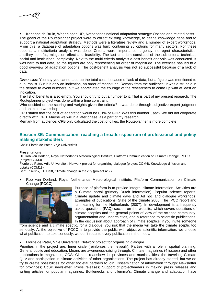

 Karianne de Bruin, Wageningen UR, Netherlands national adaptation strategy: Options and related costs The goals of the Routeplanner project were to collect existing knowledge, to define knowledge gaps and to support a national adaptation strategy. Methods were a literature review and a number of expert workshops. From this, a database of adaptation options was built, containing 96 options for many sectors. For these options, a multicriteria analysis was done. Criteria were: importance, urgency, no-regret characteristics, ancillary benefits, mitigation effect and feasibility. The last criterium consisted of the sub-criteria technical, social and institutional complexity. Next to the multi-criteria analysis a cost-benefit analysis was conducted. It was hard to find data, so the figures are only representing an order of magnitude. The exercise has led to a good overview of adaptation options. The cost-benefit analysis was not so successful because of a lack of data.

*Discussion*: You say you cannot add up the total costs because of lack of data, but a figure was mentioned to a journalist. But it is only an indication, an order of magnitude. Remark from the audience: It was a struggle in the debate to avoid numbers, but we appreciated the courage of the researchers to come up with at least an indication.

The list of benefits is also empty. You should try to put a number to it. That is part of my present research. The Routeplanner project was done within a time constraint.

Who decided on the scoring and weights given the criteria? It was done through subjective expert judgment and an expert workshop.

CPB stated that the cost of adaptation would be 0,1% of GDP. Was this number used? We did not cooperate directly with CPB. Maybe we will in a later phase, as a part of my research.

Remark from audience: CPB only calculated the cost of dikes, the Routeplanner is more complete.

# **Session 3E: Communication: reaching a broader spectrum of professional and policy making stakeholders**

Chair: Florrie de Pater, Vrije Universiteit

#### **Presentations**

Dr. Rob van Dorland, Royal Netherlands Meteorological Institute, Platform Communication on Climate Change, PCCC (project COM3)

Florrie de Pater, Vrije Universiteit, Network project for organizing dialogue (project COM4), Knowledge diffusion and uptake (COM18)

Bert Enserink, TU Delft, Climate change in the city (project A17)

• Rob van Dorland, Royal Netherlands Meteorological Institute, Platform Communication on Climate Change (PCCC)



Purpose of platform is to provide integral climate information. Activities are a Climate portal (primary Dutch information), Popular science reports, Climate update and climate days and Ad hoc and dialogue workshops. Examples of publications: State of the climate 2006, The IPCC report and its meaning for the Netherlands (2007). In development is a frequently asked questions (FAQ) section on the website, which covers questions of climate sceptics and the general points of view of the science community, argumentation and uncertainties, and a reference to scientific publications. In the discussion about approach of climate sceptics: if you invite someone

from science and a climate sceptic, for a dialogue, you risk that the media will take the climate sceptic too seriously. A: the objective of PCCC is to provide the public with objective scientific information, we choose what publication to take seriously, we don't react to every publication in the media.

#### • Florrie de Pater, Vrije Universiteit, Network project for organising dialogue

Priorities in the project are: Inner circle (reinforces the network); Parties with a role in spatial planning; General public and education. Means are awareness-raising through: Climate magazines (4 issues) and other publications in magazines, COS; Climate roadshow for provinces and municipalities; the travelling Climate Quiz and participation in climate activities of other organisations. The project has already started, but we do try to create possibilities for other societal partners to join. Dissemination of information through: Newsletter for provinces; CcSP newsletter; Press releases; Support of projectleaders in making press releases and writing articles for popular magazines. Bottlenecks and dilemma's: Climate change and adaptation have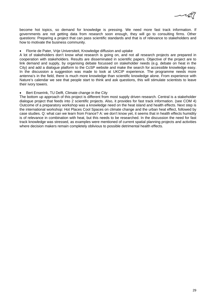

become hot topics, so demand for knowledge is pressing. We need more fast track information. If governments are not getting data from research soon enough, they will go to consulting firms. Other questions: Preparing a project that can pass scientific standards and that is of relevance to stakeholders and how to motivate the business community.

# • Florrie de Pater, Vrije Universiteit, Knowledge diffusion and uptake

A lot of stakeholders don't know what research is going on, and not all research projects are prepared in cooperation with stakeholders. Results are disseminated in scientific papers. Objective of the project are to link demand and supply, by organising debate focussed on stakeholder needs (e.g. debate on heat in the City) and add a dialogue platform to the CcSP website and make the search for accessible knowledge easy. In the discussion a suggestion was made to look at UKCIP experience. The programme needs more antenna's in the field, there is much more knowledge than scientific knowledge alone. From experience with Nature's calendar we see that people start to think and ask questions, this will stimulate scientists to leave their ivory towers.

# Bert Enserink, TU Delft, Climate change in the City

The bottom up approach of this project is different from most supply driven research. Central is a stakeholder dialogue project that feeds into 2 scientific projects. Also, it provides for fast track information. (see COM 4) Outcome of a preparatory workshop was a knowledge need on the heat island and health effects. Next step is the international workshop: Hot Places Cool Spaces on climate change and the urban heat effect, followed by case studies. Q: what can we learn from France? A: we don't know yet, it seems that in health effects humidity is of relevance in combination with heat, but this needs to be researched. In the discussion the need for fast track knowledge was stressed, as examples were mentioned of current spatial planning projects and activities where decision makers remain completely oblivious to possible detrimental health effects.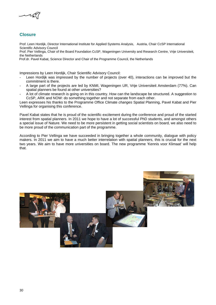

# **Closure**

Prof. Leen Hordijk, Director International Institute for Applied Systems Analysis, Austria, Chair CcSP International Scientific Advisory Council

Prof. Pier Vellinga, Chair of the Board Foundation CcSP, Wageningen University and Research Centre, Vrije Universiteit, the Netherlands

Prof.dr. Pavel Kabat, Science Director and Chair of the Programme Council, the Netherlands

Impressions by Leen Hordijk, Chair Scientific Advisory Council:

- Leen Hordijk was impressed by the number of projects (over 40), interactions can be improved but the commitment is there.
- A large part of the projects are led by KNMI, Wageningen UR, Vrije Universiteit Amsterdam (77%). Can spatial planners be found at other universities?
- A lot of climate research is going on in this country. How can the landscape be structured. A suggestion to CcSP, ARK and NOW: do something together and not separate from each other.

Leen expresses his thanks to the Programme Office Climate *changes* Spatial Planning, Pavel Kabat and Pier Vellinga for organising this conference.

Pavel Kabat states that he is proud of the scientific excitement during the conference and proud of the started interest from spatial planners. In 2011 we hope to have a lot of successful PhD students, and amongst others a special issue of Nature. We need to be more persistent in getting social scientists on board, we also need to be more proud of the communication part of the programme.

According to Pier Vellinga we have succeeded in bringing together a whole community, dialogue with policy makers. In 2011 we aim to have a much better interrelation with spatial planners, this is crucial for the next two years. We aim to have more universities on board. The new programme 'Kennis voor Klimaat' will help that.

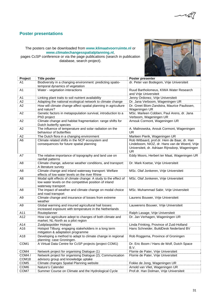

# **Poster presentations**

# The posters can be downloaded from **www.klimaatvoorruimte.nl** or **www.climatechangesspatialplanning.nl**,

pages CcSP conference or via the page publications (search in publication database, search project).



| Project          | <b>Title poster</b>                                                                                                                             | Poster presenter                                                                                                                                       |
|------------------|-------------------------------------------------------------------------------------------------------------------------------------------------|--------------------------------------------------------------------------------------------------------------------------------------------------------|
| A1               | Biodiversity in a changing environment: predicting spatio-                                                                                      | dr. Peter van Bodegom, Vrije Universiteit                                                                                                              |
|                  | temporal dynamics of vegetation                                                                                                                 |                                                                                                                                                        |
| A <sub>1</sub>   | Water - vegetation interactions                                                                                                                 | Ruud Bartholomeus, KIWA Water Research                                                                                                                 |
|                  |                                                                                                                                                 | and Vrije Universiteit                                                                                                                                 |
| A <sub>1</sub>   | Linking plant traits to soil nutrient availability                                                                                              | Jenny Ordonez, Vrije Universiteit                                                                                                                      |
| A2               | Adapting the national ecological network to climate change                                                                                      | Dr. Jana Verboom, Wageningen UR                                                                                                                        |
| A2               | How will climate change affect spatial planning in agriculture<br>and nature?                                                                   | Dr. Greet Blom-Zandstra, Maurice Paulissen,<br>Wageningen UR                                                                                           |
| A2               | Genetic factors in metapopulation survival, introduction to a<br>PhD project                                                                    | MSc. Marleen Cobben, Paul Arens, dr. Jana<br>Verboom, Wageningen UR                                                                                    |
| A2               | Climate change and habitat fragmentation: range shifts for<br>Dutch butterfly species                                                           | Arnouk Cormont, Wageningen UR                                                                                                                          |
| A2               | The influence of temperature and solar radiation on the<br>behaviour of butterflies                                                             | A. Malinowska, Anouk Cormont, Wageningen<br>UR                                                                                                         |
| A2               | The Dutch flora in a changing environment                                                                                                       | Marleen Pierik, Wageningen UR                                                                                                                          |
| A <sub>6</sub>   | Climate related shifts in the NCP ecosystem and<br>consequences for future spatial planning                                                     | Rob Witbaard, prof.dr. Hein de Baar, dr. Han<br>Lindeboom, NIOZ, dr. Hans van de Woerd, Vrije<br>Universiteit, dr. Adriaan Rijnsdorp, Wageningen<br>UR |
| A7               | The relative importance of topography and land use on<br>rainfall patterns                                                                      | Eddy Moors, Herbert ter Maat, Wageningen UR                                                                                                            |
| A8               | Climate change, adverse weather conditions, and transport:<br>A literature survey                                                               | Dr. Mark Koetse, Vrije Universiteit                                                                                                                    |
| A <sub>8</sub>   | Climate change and inland waterway transport: Welfare<br>effects of low water levels on the river Rhine                                         | MSc. Olaf Jonkeren, Vrije Universiteti                                                                                                                 |
| A <sub>8</sub>   | Modal split effects of climate change: A study to the effect of<br>low water levels on the competitive position of inland<br>waterway transport | MSc. Olaf Jonkeren, Vrije Universiteit                                                                                                                 |
| A <sub>8</sub>   | The impact of weather and climate change on modal choice<br>and road transport                                                                  | MSc. Muhammad Sabir, Vrije Universiteit                                                                                                                |
| A9               | Climate change and insurance of losses from extreme<br>weather                                                                                  | Laurens Bouwer, Vrije Universiteit                                                                                                                     |
| A <sub>9</sub>   | Global warming and insured agricultural hail losses:<br>increased exposure with temperature in the Netherlands                                  | Lauwerens Bouwer, Vrije Universiteit                                                                                                                   |
| A11              | Routeplanner                                                                                                                                    | Ralph Lasage, Vrije Universiteit                                                                                                                       |
| A12              | How can agriculture adept to changes of both climate and<br>market; NL-North as a pilot region                                                  | Dr. Jan Verhagen, Wageningen UR                                                                                                                        |
| A14              | Zuidplaspolder Hotspot                                                                                                                          | Linda Frinking, Province of Zuid-Holland                                                                                                               |
| A16              | Hotspot Tilburg: engaging stakeholders in a long term<br>mitigation & adaptation programme                                                      | Hans Schneider, BuildDesk Nederland BV                                                                                                                 |
| A18              | Developing a method to adapt to climate change in regional<br>planning: case Groningen.                                                         | Rob Roggema, Province of Groningen                                                                                                                     |
| COM1             | A Virtual Data Centre for CcSP projects (project COM1)                                                                                          | Dr. Eric Boom / Hans de Wolf, Dutch Space<br>B.V.                                                                                                      |
| COM4             | Network project for organising Dialogue (1)                                                                                                     | Florrie de Pater, Vrije Universiteit                                                                                                                   |
| COM4/            | Network project for organising Dialogue (2); Communication                                                                                      | Florrie de Pater, Vrije Universiteit                                                                                                                   |
| COM18            | advisory group and knowledge uptake                                                                                                             |                                                                                                                                                        |
| COM <sub>5</sub> | Climate changes Spatial Planning website                                                                                                        | Fokke de Jong, Wageningen UR                                                                                                                           |
| COM <sub>6</sub> | Nature's Calender                                                                                                                               | Arnold van Vliet, Wageningen UR                                                                                                                        |
| COM7             | Summer Course on Climate and the Hydrological Cycle                                                                                             | Prof.dr. Han Dolman, Vrije Universiteit                                                                                                                |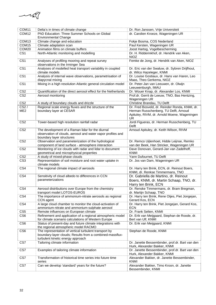

| COM11                              | Delta's in times of climate change                                                                                                                     | Dr. Ron Janssen, Vrije Universiteit                                                                       |
|------------------------------------|--------------------------------------------------------------------------------------------------------------------------------------------------------|-----------------------------------------------------------------------------------------------------------|
| COM <sub>12</sub>                  | PhD Education: Three Summer Schools on Global                                                                                                          | dr. Carolien Kroeze, Wageningen UR                                                                        |
|                                    | <b>Environmental Change</b>                                                                                                                            |                                                                                                           |
| COM <sub>13</sub>                  | Climate change and education                                                                                                                           | Fokje Bosma, COS Nederland                                                                                |
| COM <sub>15</sub>                  | Climate adaptation scan                                                                                                                                | Paul Kersten, Wageningen UR                                                                               |
| COM <sub>20</sub>                  | Animation films on climate buffers                                                                                                                     | Joost Hartog, Vogelbescherming                                                                            |
| CS <sub>1</sub>                    | North-Atlantic monitoring and modelling                                                                                                                | Dr. H. Ridderinkhof, dr. Hendrik van Aken,<br><b>NIOZ</b>                                                 |
| CS <sub>1</sub>                    | Analyses of profiling mooring and repeat survey<br>observations in the Irminger Sea                                                                    | Femke de Jong, dr. Hendrik van Aken, NIOZ                                                                 |
| CS <sub>1</sub>                    | Analyses of modelled heat transport variability in coupled<br>climate models                                                                           | Dr. Eric van der Swaluw, dr. Sybren Drijfhout,<br>dr. Wilco Hazeleger, KNMI                               |
| CS <sub>1</sub>                    | Analysis of internal wave observations, parametrisation of<br>diapycnal mixing                                                                         | Dr. Louise Gostiaux, dr. Hans van Haren, Leo<br>Maas, Theo Gerkema, NIOZ                                  |
| CS <sub>1</sub>                    | Mixing in a high resolution Atlantic general circulation model                                                                                         | Dr. Peter-Jan van Leeuwen, dr. Olwijn<br>Leeuwenburgh, IMAU                                               |
| CS <sub>2</sub>                    | Quantification of the direct aerosol effect for the Netherlands                                                                                        | Dr. Wouer Knap, dr. Alexander Los, KNMI                                                                   |
| CS <sub>2</sub>                    | Aerosol monitoring                                                                                                                                     | Prof.dr. Gerrit de Leeuw, TNO, Bas Hentzing,<br>Wageningen UR                                             |
| CS <sub>2</sub>                    | A study of boundary clouds and drizzle                                                                                                                 | Christine Brandau, TU Delft                                                                               |
| $\overline{CS27}$                  | Regional scale energy fluxes and the structure of the                                                                                                  | Dr. Fred Bosveld, dr. Reinder Ronda, KNMI, dr.                                                            |
| ME <sub>2</sub>                    | boundary layer at CESAR                                                                                                                                | Herman Russchenberg, TU Delft, Arnoud<br>Apituley, RIVM, dr. Arnold Moene, Wageningen<br><b>UR</b>        |
| CS <sub>2</sub>                    | Tower-based high resolution rainfall radar                                                                                                             | Jordi Figueras, dr. Herman Russchenberg, TU<br>Delft                                                      |
| CS <sub>2</sub>                    | The development of a Raman lidar for the diurnal<br>observation of clouds, aerosol and water vapor profiles and<br>boundary layer structures           | Arnoud Apituley, dr. Keith Wilson, RIVM                                                                   |
| CS <sub>2</sub>                    | Observation and parameterization of the hydrological<br>component of land surface - atmosphere interaction                                             | Dr. Remco Uijlenhoet, Hidde Leijnse, Remko<br>van der Beek, Han Stricker, Wageningen UR                   |
| CS <sub>2</sub>                    | Monitoring of ice clouds with radar and lidar to document<br>geometrical and microphysical properties                                                  | Dave Donovan, Gerard-Jan van Zadelhoff,<br><b>KNMI</b>                                                    |
| CS <sub>2</sub>                    | A study of mixed-phase clouds                                                                                                                          | Yann Dufournet, TU Delft                                                                                  |
| CS <sub>3</sub>                    | Representation of soil moisture and root water uptake in<br>climate models                                                                             | Dr. Jos van Dam, Wageningen UR                                                                            |
| CS4                                | The regional climate impact of aerosols                                                                                                                | Dr. Harry ten Brink, ECN, dr. Reinout Boers,<br>KNMI, dr. Renkse Timmermans, TNO                          |
| CS4                                | Sensitivity of cloud albedo to differences in CCN<br>parameterizations                                                                                 | Dr. Gabriella de Martino, dr. Reinout<br>Boers, KNMI, dr. Martin Schaap, TNO, dr.<br>Harry ten Brink, ECN |
| CS4                                | Aerosol distributions over Europe from the chemistry                                                                                                   | Dr. Renske Timmermans, dr. Bram Bregman,                                                                  |
| CS4                                | transport model LOTOS-EUROS                                                                                                                            | dr. Martijn Schaap, TNO<br>Dr. Harry ten Brink, Rene Otjes, Piet Jongejan,                                |
|                                    | The importance of ammonium-nitrate aerosols as regional<br>CCN agent                                                                                   | Gerard Kos, ECN                                                                                           |
| CS4                                | A large cloud chamber to monitor the cloud-activation of<br>ammonium-nitrate and ammonium-sulphate aerosol                                             | Dr. Harry ten Brink, Piet Jongejan, Gerard Kos,<br><b>ECN</b>                                             |
| CS <sub>5</sub><br>CS <sub>6</sub> | Remote influences on European climate<br>Refinement and application of a regional atmospheric model                                                    | Dr. Frank Selten, KNMI<br>Dr. Erik van Meijgaard, Stephan de Roode, dr.                                   |
|                                    | for climate scenario calculations of Western Europe                                                                                                    | Bert van Ulf, KNMI                                                                                        |
| CS <sub>6</sub>                    | Status of present-day and future climate integrations with<br>the regional atmospheric model RACMO                                                     | Dr. Erik van Meijgaard, KNMI                                                                              |
| CS <sub>6</sub>                    | The representation of vertical turbulent transport by<br>boundary-layer clouds; Results from a combined-massflux-<br>turbulent kinetic energy approach | Stephan de Roode, KNMI                                                                                    |
| CS7                                | Tailoring climate information                                                                                                                          | Dr. Janette Bessembinder, prof.dr. Bart van den<br>Hurk, Alexander Bakker, KNMI                           |
| CS7                                | Examples of tailoring climate information                                                                                                              | Dr. Janette Bessembinder, prof.dr. Bart van den<br>Hurk, Alexander Bakker, KNMI                           |
| CS7                                | Transformation of historical time series into future time<br>series                                                                                    | Alexander Bakker, dr. Janette Bessembinder,<br><b>KNMI</b>                                                |
| CS7                                | Can we develop 'standard' years for the future?                                                                                                        | Alexander Bakker, Timo Kroon, dr. Janette<br>Bessembinder, KNMI                                           |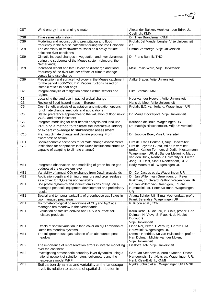$-1/2$ 

| CS7                     | Wind energy in a changing climate                                                                                                             | Alexander Bakker, Henk van den Brink, Jan                                                                                                                                                                                              |
|-------------------------|-----------------------------------------------------------------------------------------------------------------------------------------------|----------------------------------------------------------------------------------------------------------------------------------------------------------------------------------------------------------------------------------------|
| CS <sub>8</sub>         | Time series information                                                                                                                       | Coelingh, KMMI<br>Dr. Theo Brandsma, KNMI                                                                                                                                                                                              |
| CS <sub>9</sub>         | Modelling and reconstructing precipitation and flood                                                                                          | Prof.dr. Jef Vandenberghe, Vrije Universiteit                                                                                                                                                                                          |
|                         | frequency in the Meuse catchment during the late Holocene                                                                                     | C.S.                                                                                                                                                                                                                                   |
| CS9                     | The chemistry of freshwater mussels as a proxy for late<br>holocene river conditions                                                          | Emma Versteegh, Vrije Universiteit                                                                                                                                                                                                     |
| $\overline{\text{CS9}}$ | Climatic induced changes in vegetation and river dynamics                                                                                     | Dr. Frans Bunnik, TNO                                                                                                                                                                                                                  |
|                         | during the subboreal of the Meuse system (Limburg, the<br>Netherlands)                                                                        |                                                                                                                                                                                                                                        |
| CS9                     | Increased recent and late Holocene discharge and flood                                                                                        | MSc. Philip Ward, Vrije Universiteit                                                                                                                                                                                                   |
|                         | frequency of the river Meuse: effects of climate change<br>versus land use change                                                             |                                                                                                                                                                                                                                        |
| CS9                     | Precipitation and surface hydrology in the Meuse catchment                                                                                    | Aafke Brader, Vrije Universiteit                                                                                                                                                                                                       |
|                         | for the period 4000-2500 BP: Reconstructions based on<br>isotopic ratio's in peat bogs                                                        |                                                                                                                                                                                                                                        |
| IC <sub>2</sub>         | Integral analysis of mitigation options within sectors and                                                                                    | Elke Stehfast, MNP                                                                                                                                                                                                                     |
| IC <sub>3</sub>         | regions<br>Localising the land use impact of global change                                                                                    | Noor van der Hoeven, Vrije Universiteit                                                                                                                                                                                                |
| IC <sub>3</sub>         | Review of flood hazard maps in Europe                                                                                                         | Hans de Moel, Vrije Universiteit                                                                                                                                                                                                       |
| IC <sub>5</sub>         | Cost-Benefit analysis of adaptation and mitigation options                                                                                    | Prof.dr. E.C. van Ierland, Wageningen UR                                                                                                                                                                                               |
|                         | for climate change: methods and applications                                                                                                  |                                                                                                                                                                                                                                        |
| IC <sub>5</sub>         | Stated preference approaches to the valuation of flood risks:<br>VOSL and other indicators                                                    | Dr. Marija Bockarjova, Vrije Universiteit                                                                                                                                                                                              |
| IC <sub>5</sub>         | Integrate modelling for cost-benefit analysis and land use                                                                                    | Karianne de Bruin, Wageningen UR                                                                                                                                                                                                       |
| IC8                     | PRObing a method to facilitate the interactive linking<br>of expert knowledge to stakeholder assessment                                       | Dr. Matthijs Hisschemöller, Vrije Universiteit                                                                                                                                                                                         |
| IC <sub>10</sub>        | Framing climate change and climate proofing: From<br>awareness to action                                                                      | Dr. Joop de Boer, Vrije Universiteit                                                                                                                                                                                                   |
| IC <sub>11</sub>        | Socio-economic scenarios for climate change assessments                                                                                       | Prof.dr. Frans Berkhout, Vrije Universiteit                                                                                                                                                                                            |
| <b>IC12</b>             | Institutions for adaptation: Is the Dutch institutional structure<br>capable of adapting to climate change?                                   | Prof.dr. Joyeeta Gupta, Vrije Universiteit,<br>prof.dr. Katrien Termeer, dr.Judith Klostermann,<br>Wageningen UR, dr. Sander Meijerink, Margo<br>van den Brink, Radboud University dr. Pieter<br>Jong, TU Delft, Sibout Nooteboom, DHV |
| ME <sub>1</sub>         | Integrated observation and modelling of green house gas<br>budgets at the ecosystem level                                                     | Eddy Moors et al., Wageningen UR                                                                                                                                                                                                       |
| ME <sub>1</sub>         | Variability of annual CO <sub>2</sub> exchange from Dutch grasslands                                                                          | Dr. Cor Jacobs et al., Wageningen UR                                                                                                                                                                                                   |
| ME1                     | Application depth and timing of manure and crop residues<br>as a driver for N <sub>2</sub> O emission variability                             | Dr. Jan Willem van Groenigen, dr. Peter<br>Kuikman, dr. Gerard Velthof, Wageningen UR                                                                                                                                                  |
| ME1                     | Soil profile dynamics and indirect emissions of N <sub>2</sub> O on a<br>managed peat soil; equipment development and preliminary<br>results  | Dr. Jan Willem van Groenigen, Eduard<br>Hummelink, dr. Peter Kuikman, Wageningen<br><b>UR</b>                                                                                                                                          |
| ME <sub>1</sub>         | Spatial and temporal variability of greenhouse gas fluxes in<br>two managed peat areas                                                        | Ariana Schrier-Uijl, Elmar Veenendaal, prof.dr.<br>Frank Berendse, Wageningen UR                                                                                                                                                       |
| ME <sub>1</sub>         | Micrometeorological observations of CH <sub>4</sub> and N <sub>2</sub> O at a<br>managed fen meadow in the Netherlands                        | P. Kroon et al., ECN                                                                                                                                                                                                                   |
| ME1                     | Evaluation of satellite derived and DGVM surface soil<br>moisture products                                                                    | Karin Rebel, R. de Jeu, P. Ciais, prof.dr. Han<br>Dolman, N. Viovy, S. Piao, N. de Noblet-<br>Ducoudré<br>Vrije Universiteit                                                                                                           |
| ME1                     | Effects of spatial variation in land cover on $N_2O$ emission of<br>Dutch fen meadow systems                                                  | Linda Nol, Peter H. Verburg, Gerard B.M.<br>Heuvelink, Wageningen UR                                                                                                                                                                   |
| ME1                     | The full greenhouse gas balance of an abandoned peat<br>meadow                                                                                | Dimmie Hendriks, Ko van Huissteden, prof.dr.<br>Han Dolman, Michiel van der Molen,<br>Vrije Universiteit                                                                                                                               |
| ME <sub>2</sub>         | The importance of representation errors in inverse modelling<br>over the continent                                                            | Lieslotte Tolk, Vrije Universiteit                                                                                                                                                                                                     |
| ME <sub>2</sub>         | Investigating atmospheric boundary layer dynamics using a<br>national network of scintillometers, ceilometers and the<br>meso-scale model WRF | Gert-Jan Steeneveld, Arnold Moene, Oscar<br>Hartogensis, Bert Holtslag, Wageningen UR,<br>Henk Klein-Baltink, KNMI                                                                                                                     |
| ME3                     | Soil carbon dynamics and variability at the landscape<br>level: its relation to aspects of spatial distribution in                            | Nynke Schulp et al., Wageningen UR / MNP                                                                                                                                                                                               |